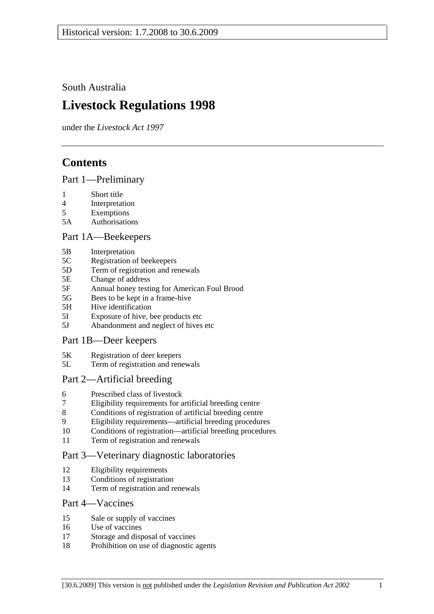South Australia

# **Livestock Regulations 1998**

under the *Livestock Act 1997*

# **Contents**

## Part 1—Preliminary

- 1 Short title
- 4 Interpretation
- 5 Exemptions
- 5A Authorisations

## Part 1A—Beekeepers

- 5B Interpretation
- 5C Registration of beekeepers
- 5D Term of registration and renewals
- 5E Change of address
- 5F Annual honey testing for American Foul Brood
- 5G Bees to be kept in a frame-hive
- 5H Hive identification
- 5I Exposure of hive, bee products etc
- 5J Abandonment and neglect of hives etc

## Part 1B—Deer keepers

- 5K Registration of deer keepers
- 5L Term of registration and renewals

## Part 2—Artificial breeding

- 6 Prescribed class of livestock
- 7 Eligibility requirements for artificial breeding centre
- 8 Conditions of registration of artificial breeding centre
- 9 Eligibility requirements—artificial breeding procedures
- 10 Conditions of registration—artificial breeding procedures
- 11 Term of registration and renewals

## Part 3—Veterinary diagnostic laboratories

- 12 Eligibility requirements
- 13 Conditions of registration
- 14 Term of registration and renewals

## Part 4—Vaccines

- 15 Sale or supply of vaccines
- 16 Use of vaccines
- 17 Storage and disposal of vaccines
- 18 Prohibition on use of diagnostic agents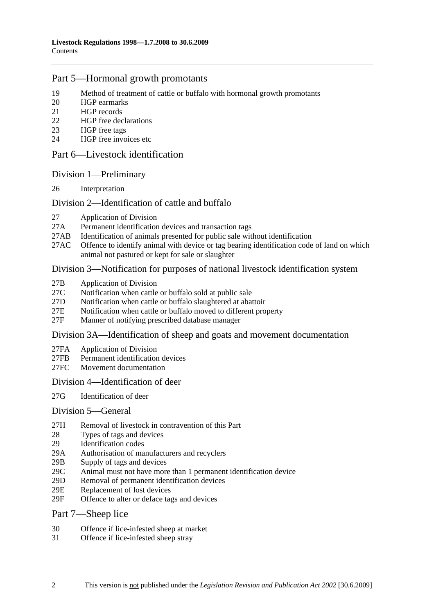## Part 5—Hormonal growth promotants

- 19 Method of treatment of cattle or buffalo with hormonal growth promotants
- 20 HGP earmarks
- 21 HGP records
- 22 HGP free declarations
- 23 HGP free tags
- 24 HGP free invoices etc

### Part 6—Livestock identification

### Division 1—Preliminary

26 Interpretation

### Division 2—Identification of cattle and buffalo

- 27 Application of Division
- 27A Permanent identification devices and transaction tags
- 27AB Identification of animals presented for public sale without identification
- 27AC Offence to identify animal with device or tag bearing identification code of land on which animal not pastured or kept for sale or slaughter

### Division 3—Notification for purposes of national livestock identification system

- 27B Application of Division
- 27C Notification when cattle or buffalo sold at public sale
- 27D Notification when cattle or buffalo slaughtered at abattoir
- 27E Notification when cattle or buffalo moved to different property
- 27F Manner of notifying prescribed database manager

#### Division 3A—Identification of sheep and goats and movement documentation

- 27FA Application of Division
- 27FB Permanent identification devices
- 27FC Movement documentation

#### Division 4—Identification of deer

27G Identification of deer

#### Division 5—General

- 27H Removal of livestock in contravention of this Part
- 28 Types of tags and devices
- 29 Identification codes
- 29A Authorisation of manufacturers and recyclers
- 29B Supply of tags and devices
- 29C Animal must not have more than 1 permanent identification device
- 29D Removal of permanent identification devices
- 29E Replacement of lost devices
- 29F Offence to alter or deface tags and devices

#### Part 7—Sheep lice

- 30 Offence if lice-infested sheep at market
- 31 Offence if lice-infested sheep stray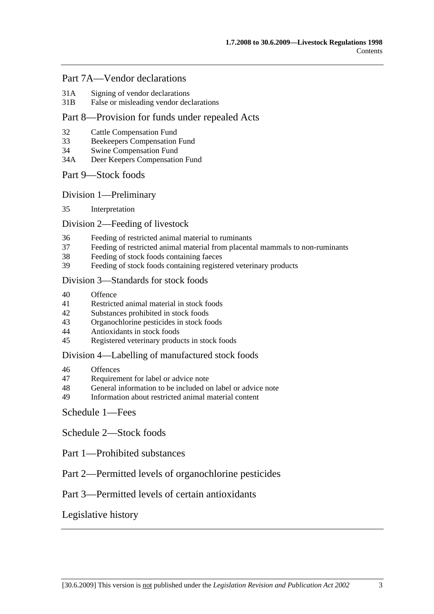## Part 7A—Vendor declarations

- 31A Signing of vendor declarations
- 31B False or misleading vendor declarations

## Part 8—Provision for funds under repealed Acts

- 32 Cattle Compensation Fund
- 33 Beekeepers Compensation Fund
- 34 Swine Compensation Fund
- 34A Deer Keepers Compensation Fund

### Part 9—Stock foods

Division 1—Preliminary

35 Interpretation

### Division 2—Feeding of livestock

- 36 Feeding of restricted animal material to ruminants
- 37 Feeding of restricted animal material from placental mammals to non-ruminants
- 38 Feeding of stock foods containing faeces
- 39 Feeding of stock foods containing registered veterinary products

#### Division 3—Standards for stock foods

- 40 Offence
- 41 Restricted animal material in stock foods
- 42 Substances prohibited in stock foods
- 43 Organochlorine pesticides in stock foods
- 44 Antioxidants in stock foods
- 45 Registered veterinary products in stock foods

#### Division 4—Labelling of manufactured stock foods

- 46 Offences
- 47 Requirement for label or advice note
- 48 General information to be included on label or advice note
- 49 Information about restricted animal material content

## Schedule 1—Fees

Schedule 2—Stock foods

- Part 1—Prohibited substances
- Part 2—Permitted levels of organochlorine pesticides

## Part 3—Permitted levels of certain antioxidants

## Legislative history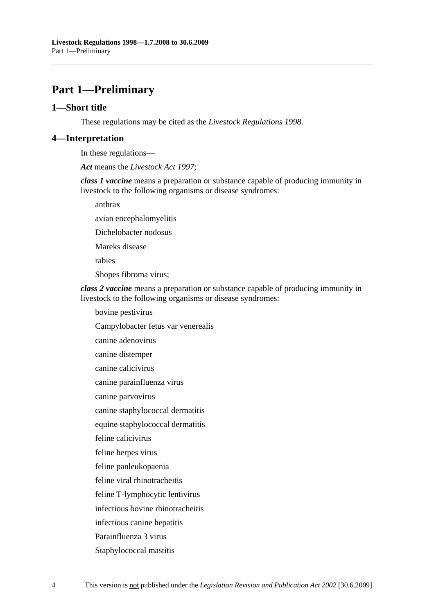# **Part 1—Preliminary**

#### **1—Short title**

These regulations may be cited as the *Livestock Regulations 1998*.

#### **4—Interpretation**

In these regulations—

*Act* means the *Livestock Act 1997*;

*class 1 vaccine* means a preparation or substance capable of producing immunity in livestock to the following organisms or disease syndromes:

anthrax

avian encephalomyelitis

Dichelobacter nodosus

Mareks disease

rabies

Shopes fibroma virus;

*class 2 vaccine* means a preparation or substance capable of producing immunity in livestock to the following organisms or disease syndromes:

bovine pestivirus

Campylobacter fetus var venerealis

canine adenovirus

canine distemper

canine calicivirus

canine parainfluenza virus

canine parvovirus

canine staphylococcal dermatitis

equine staphylococcal dermatitis

feline calicivirus

feline herpes virus

feline panleukopaenia

feline viral rhinotracheitis

feline T-lymphocytic lentivirus

infectious bovine rhinotracheitis

infectious canine hepatitis

Parainfluenza 3 virus

Staphylococcal mastitis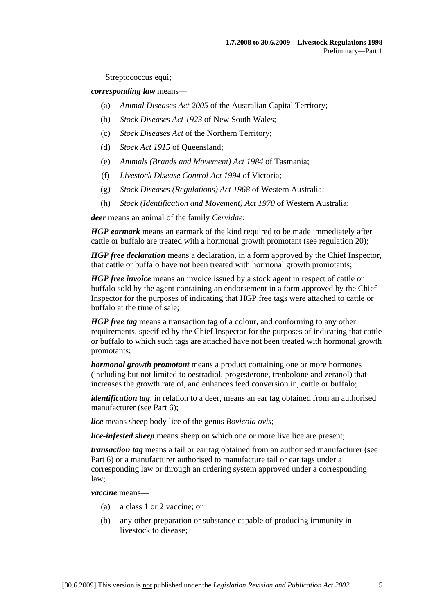Streptococcus equi;

*corresponding law* means—

- (a) *Animal Diseases Act 2005* of the Australian Capital Territory;
- (b) *Stock Diseases Act 1923* of New South Wales;
- (c) *Stock Diseases Act* of the Northern Territory;
- (d) *Stock Act 1915* of Queensland;
- (e) *Animals (Brands and Movement) Act 1984* of Tasmania;
- (f) *Livestock Disease Control Act 1994* of Victoria;
- (g) *Stock Diseases (Regulations) Act 1968* of Western Australia;
- (h) *Stock (Identification and Movement) Act 1970* of Western Australia;

*deer* means an animal of the family *Cervidae*;

*HGP earmark* means an earmark of the kind required to be made immediately after cattle or buffalo are treated with a hormonal growth promotant (see regulation 20);

*HGP free declaration* means a declaration, in a form approved by the Chief Inspector, that cattle or buffalo have not been treated with hormonal growth promotants;

*HGP free invoice* means an invoice issued by a stock agent in respect of cattle or buffalo sold by the agent containing an endorsement in a form approved by the Chief Inspector for the purposes of indicating that HGP free tags were attached to cattle or buffalo at the time of sale;

*HGP free tag* means a transaction tag of a colour, and conforming to any other requirements, specified by the Chief Inspector for the purposes of indicating that cattle or buffalo to which such tags are attached have not been treated with hormonal growth promotants;

*hormonal growth promotant* means a product containing one or more hormones (including but not limited to oestradiol, progesterone, trenbolone and zeranol) that increases the growth rate of, and enhances feed conversion in, cattle or buffalo;

*identification tag*, in relation to a deer, means an ear tag obtained from an authorised manufacturer (see Part 6);

*lice* means sheep body lice of the genus *Bovicola ovis*;

*lice-infested sheep* means sheep on which one or more live lice are present;

*transaction tag* means a tail or ear tag obtained from an authorised manufacturer (see Part 6) or a manufacturer authorised to manufacture tail or ear tags under a corresponding law or through an ordering system approved under a corresponding law;

*vaccine* means—

- (a) a class 1 or 2 vaccine; or
- (b) any other preparation or substance capable of producing immunity in livestock to disease;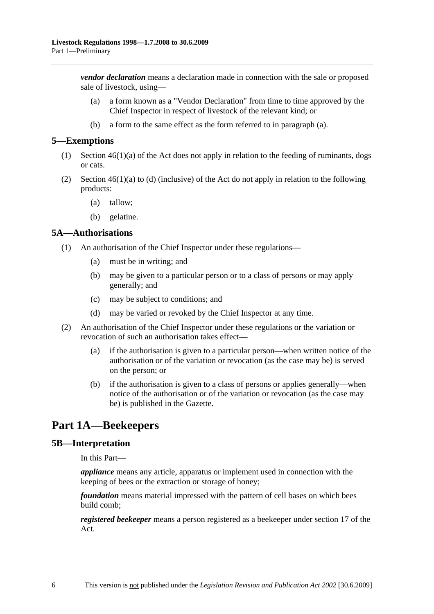*vendor declaration* means a declaration made in connection with the sale or proposed sale of livestock, using—

- (a) a form known as a "Vendor Declaration" from time to time approved by the Chief Inspector in respect of livestock of the relevant kind; or
- (b) a form to the same effect as the form referred to in paragraph (a).

#### **5—Exemptions**

- (1) Section 46(1)(a) of the Act does not apply in relation to the feeding of ruminants, dogs or cats.
- (2) Section  $46(1)(a)$  to (d) (inclusive) of the Act do not apply in relation to the following products:
	- (a) tallow;
	- (b) gelatine.

#### **5A—Authorisations**

- (1) An authorisation of the Chief Inspector under these regulations—
	- (a) must be in writing; and
	- (b) may be given to a particular person or to a class of persons or may apply generally; and
	- (c) may be subject to conditions; and
	- (d) may be varied or revoked by the Chief Inspector at any time.
- (2) An authorisation of the Chief Inspector under these regulations or the variation or revocation of such an authorisation takes effect—
	- (a) if the authorisation is given to a particular person—when written notice of the authorisation or of the variation or revocation (as the case may be) is served on the person; or
	- (b) if the authorisation is given to a class of persons or applies generally—when notice of the authorisation or of the variation or revocation (as the case may be) is published in the Gazette.

# **Part 1A—Beekeepers**

#### **5B—Interpretation**

In this Part—

*appliance* means any article, apparatus or implement used in connection with the keeping of bees or the extraction or storage of honey;

*foundation* means material impressed with the pattern of cell bases on which bees build comb;

*registered beekeeper* means a person registered as a beekeeper under section 17 of the Act.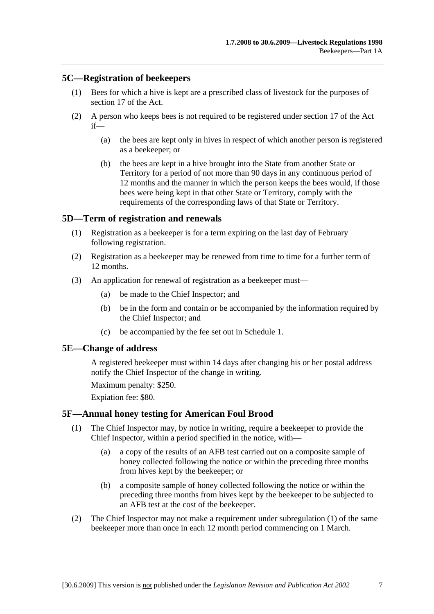### **5C—Registration of beekeepers**

- (1) Bees for which a hive is kept are a prescribed class of livestock for the purposes of section 17 of the Act.
- (2) A person who keeps bees is not required to be registered under section 17 of the Act if—
	- (a) the bees are kept only in hives in respect of which another person is registered as a beekeeper; or
	- (b) the bees are kept in a hive brought into the State from another State or Territory for a period of not more than 90 days in any continuous period of 12 months and the manner in which the person keeps the bees would, if those bees were being kept in that other State or Territory, comply with the requirements of the corresponding laws of that State or Territory.

## **5D—Term of registration and renewals**

- (1) Registration as a beekeeper is for a term expiring on the last day of February following registration.
- (2) Registration as a beekeeper may be renewed from time to time for a further term of 12 months.
- (3) An application for renewal of registration as a beekeeper must—
	- (a) be made to the Chief Inspector; and
	- (b) be in the form and contain or be accompanied by the information required by the Chief Inspector; and
	- (c) be accompanied by the fee set out in Schedule 1.

### **5E—Change of address**

A registered beekeeper must within 14 days after changing his or her postal address notify the Chief Inspector of the change in writing.

Maximum penalty: \$250.

Expiation fee: \$80.

#### **5F—Annual honey testing for American Foul Brood**

- (1) The Chief Inspector may, by notice in writing, require a beekeeper to provide the Chief Inspector, within a period specified in the notice, with—
	- (a) a copy of the results of an AFB test carried out on a composite sample of honey collected following the notice or within the preceding three months from hives kept by the beekeeper; or
	- (b) a composite sample of honey collected following the notice or within the preceding three months from hives kept by the beekeeper to be subjected to an AFB test at the cost of the beekeeper.
- (2) The Chief Inspector may not make a requirement under subregulation (1) of the same beekeeper more than once in each 12 month period commencing on 1 March.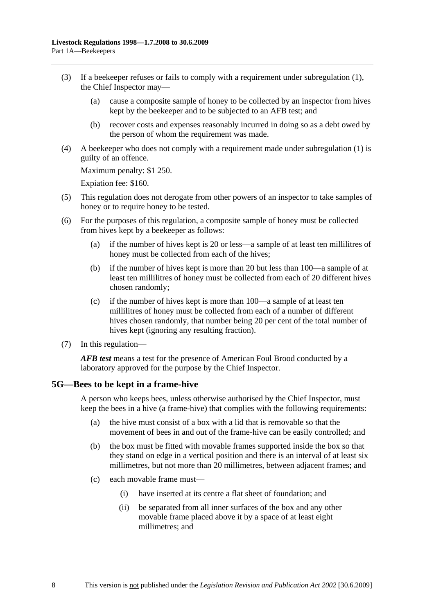- (3) If a beekeeper refuses or fails to comply with a requirement under subregulation (1), the Chief Inspector may—
	- (a) cause a composite sample of honey to be collected by an inspector from hives kept by the beekeeper and to be subjected to an AFB test; and
	- (b) recover costs and expenses reasonably incurred in doing so as a debt owed by the person of whom the requirement was made.
- (4) A beekeeper who does not comply with a requirement made under subregulation (1) is guilty of an offence.

Maximum penalty: \$1 250.

Expiation fee: \$160.

- (5) This regulation does not derogate from other powers of an inspector to take samples of honey or to require honey to be tested.
- (6) For the purposes of this regulation, a composite sample of honey must be collected from hives kept by a beekeeper as follows:
	- (a) if the number of hives kept is 20 or less—a sample of at least ten millilitres of honey must be collected from each of the hives;
	- (b) if the number of hives kept is more than 20 but less than 100—a sample of at least ten millilitres of honey must be collected from each of 20 different hives chosen randomly;
	- (c) if the number of hives kept is more than 100—a sample of at least ten millilitres of honey must be collected from each of a number of different hives chosen randomly, that number being 20 per cent of the total number of hives kept (ignoring any resulting fraction).
- (7) In this regulation—

*AFB test* means a test for the presence of American Foul Brood conducted by a laboratory approved for the purpose by the Chief Inspector.

#### **5G—Bees to be kept in a frame-hive**

A person who keeps bees, unless otherwise authorised by the Chief Inspector, must keep the bees in a hive (a frame-hive) that complies with the following requirements:

- (a) the hive must consist of a box with a lid that is removable so that the movement of bees in and out of the frame-hive can be easily controlled; and
- (b) the box must be fitted with movable frames supported inside the box so that they stand on edge in a vertical position and there is an interval of at least six millimetres, but not more than 20 millimetres, between adjacent frames; and
- (c) each movable frame must—
	- (i) have inserted at its centre a flat sheet of foundation; and
	- (ii) be separated from all inner surfaces of the box and any other movable frame placed above it by a space of at least eight millimetres; and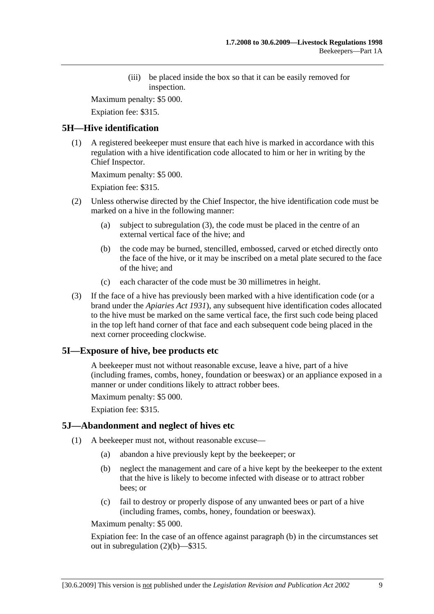(iii) be placed inside the box so that it can be easily removed for inspection.

Maximum penalty: \$5 000.

Expiation fee: \$315.

## **5H—Hive identification**

 (1) A registered beekeeper must ensure that each hive is marked in accordance with this regulation with a hive identification code allocated to him or her in writing by the Chief Inspector.

Maximum penalty: \$5 000.

Expiation fee: \$315.

- (2) Unless otherwise directed by the Chief Inspector, the hive identification code must be marked on a hive in the following manner:
	- (a) subject to subregulation (3), the code must be placed in the centre of an external vertical face of the hive; and
	- (b) the code may be burned, stencilled, embossed, carved or etched directly onto the face of the hive, or it may be inscribed on a metal plate secured to the face of the hive; and
	- (c) each character of the code must be 30 millimetres in height.
- (3) If the face of a hive has previously been marked with a hive identification code (or a brand under the *Apiaries Act 1931*), any subsequent hive identification codes allocated to the hive must be marked on the same vertical face, the first such code being placed in the top left hand corner of that face and each subsequent code being placed in the next corner proceeding clockwise.

## **5I—Exposure of hive, bee products etc**

A beekeeper must not without reasonable excuse, leave a hive, part of a hive (including frames, combs, honey, foundation or beeswax) or an appliance exposed in a manner or under conditions likely to attract robber bees.

Maximum penalty: \$5 000.

Expiation fee: \$315.

## **5J—Abandonment and neglect of hives etc**

- (1) A beekeeper must not, without reasonable excuse—
	- (a) abandon a hive previously kept by the beekeeper; or
	- (b) neglect the management and care of a hive kept by the beekeeper to the extent that the hive is likely to become infected with disease or to attract robber bees; or
	- (c) fail to destroy or properly dispose of any unwanted bees or part of a hive (including frames, combs, honey, foundation or beeswax).

Maximum penalty: \$5 000.

Expiation fee: In the case of an offence against paragraph (b) in the circumstances set out in subregulation (2)(b)—\$315.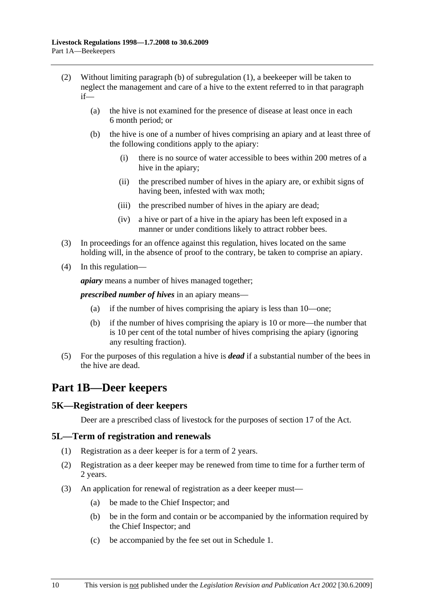- (2) Without limiting paragraph (b) of subregulation (1), a beekeeper will be taken to neglect the management and care of a hive to the extent referred to in that paragraph if—
	- (a) the hive is not examined for the presence of disease at least once in each 6 month period; or
	- (b) the hive is one of a number of hives comprising an apiary and at least three of the following conditions apply to the apiary:
		- (i) there is no source of water accessible to bees within 200 metres of a hive in the apiary;
		- (ii) the prescribed number of hives in the apiary are, or exhibit signs of having been, infested with wax moth;
		- (iii) the prescribed number of hives in the apiary are dead;
		- (iv) a hive or part of a hive in the apiary has been left exposed in a manner or under conditions likely to attract robber bees.
- (3) In proceedings for an offence against this regulation, hives located on the same holding will, in the absence of proof to the contrary, be taken to comprise an apiary.
- (4) In this regulation—

*apiary* means a number of hives managed together;

*prescribed number of hives* in an apiary means—

- (a) if the number of hives comprising the apiary is less than 10—one;
- (b) if the number of hives comprising the apiary is 10 or more—the number that is 10 per cent of the total number of hives comprising the apiary (ignoring any resulting fraction).
- (5) For the purposes of this regulation a hive is *dead* if a substantial number of the bees in the hive are dead.

# **Part 1B—Deer keepers**

## **5K—Registration of deer keepers**

Deer are a prescribed class of livestock for the purposes of section 17 of the Act.

#### **5L—Term of registration and renewals**

- (1) Registration as a deer keeper is for a term of 2 years.
- (2) Registration as a deer keeper may be renewed from time to time for a further term of 2 years.
- (3) An application for renewal of registration as a deer keeper must—
	- (a) be made to the Chief Inspector; and
	- (b) be in the form and contain or be accompanied by the information required by the Chief Inspector; and
	- (c) be accompanied by the fee set out in Schedule 1.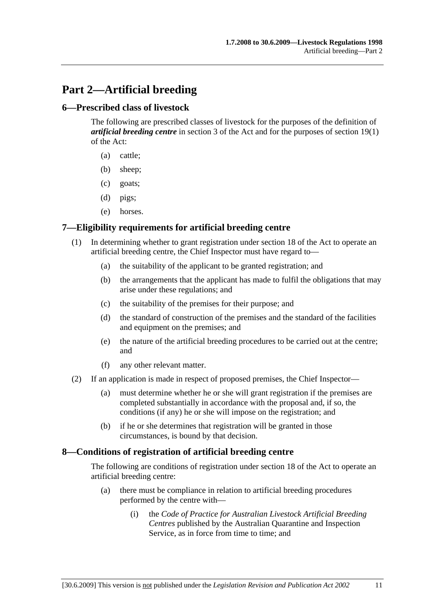# **Part 2—Artificial breeding**

### **6—Prescribed class of livestock**

The following are prescribed classes of livestock for the purposes of the definition of *artificial breeding centre* in section 3 of the Act and for the purposes of section 19(1) of the Act:

- (a) cattle;
- (b) sheep;
- (c) goats;
- (d) pigs;
- (e) horses.

### **7—Eligibility requirements for artificial breeding centre**

- (1) In determining whether to grant registration under section 18 of the Act to operate an artificial breeding centre, the Chief Inspector must have regard to—
	- (a) the suitability of the applicant to be granted registration; and
	- (b) the arrangements that the applicant has made to fulfil the obligations that may arise under these regulations; and
	- (c) the suitability of the premises for their purpose; and
	- (d) the standard of construction of the premises and the standard of the facilities and equipment on the premises; and
	- (e) the nature of the artificial breeding procedures to be carried out at the centre; and
	- (f) any other relevant matter.
- (2) If an application is made in respect of proposed premises, the Chief Inspector—
	- (a) must determine whether he or she will grant registration if the premises are completed substantially in accordance with the proposal and, if so, the conditions (if any) he or she will impose on the registration; and
	- (b) if he or she determines that registration will be granted in those circumstances, is bound by that decision.

#### **8—Conditions of registration of artificial breeding centre**

The following are conditions of registration under section 18 of the Act to operate an artificial breeding centre:

- (a) there must be compliance in relation to artificial breeding procedures performed by the centre with—
	- (i) the *Code of Practice for Australian Livestock Artificial Breeding Centres* published by the Australian Quarantine and Inspection Service, as in force from time to time; and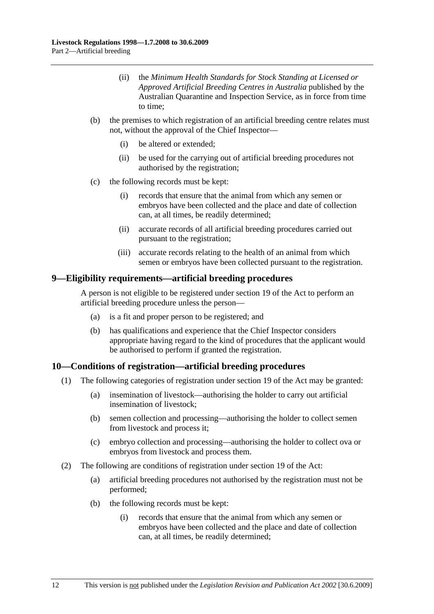- (ii) the *Minimum Health Standards for Stock Standing at Licensed or Approved Artificial Breeding Centres in Australia* published by the Australian Quarantine and Inspection Service, as in force from time to time;
- (b) the premises to which registration of an artificial breeding centre relates must not, without the approval of the Chief Inspector—
	- (i) be altered or extended;
	- (ii) be used for the carrying out of artificial breeding procedures not authorised by the registration;
- (c) the following records must be kept:
	- (i) records that ensure that the animal from which any semen or embryos have been collected and the place and date of collection can, at all times, be readily determined;
	- (ii) accurate records of all artificial breeding procedures carried out pursuant to the registration;
	- (iii) accurate records relating to the health of an animal from which semen or embryos have been collected pursuant to the registration.

#### **9—Eligibility requirements—artificial breeding procedures**

A person is not eligible to be registered under section 19 of the Act to perform an artificial breeding procedure unless the person—

- (a) is a fit and proper person to be registered; and
- (b) has qualifications and experience that the Chief Inspector considers appropriate having regard to the kind of procedures that the applicant would be authorised to perform if granted the registration.

## **10—Conditions of registration—artificial breeding procedures**

- (1) The following categories of registration under section 19 of the Act may be granted:
	- (a) insemination of livestock—authorising the holder to carry out artificial insemination of livestock;
	- (b) semen collection and processing—authorising the holder to collect semen from livestock and process it;
	- (c) embryo collection and processing—authorising the holder to collect ova or embryos from livestock and process them.
- (2) The following are conditions of registration under section 19 of the Act:
	- (a) artificial breeding procedures not authorised by the registration must not be performed;
	- (b) the following records must be kept:
		- (i) records that ensure that the animal from which any semen or embryos have been collected and the place and date of collection can, at all times, be readily determined;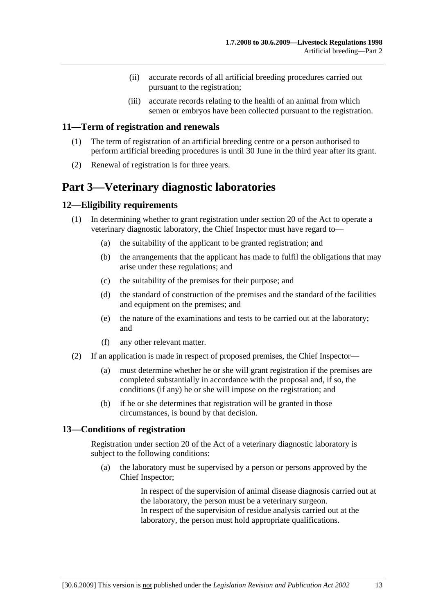- (ii) accurate records of all artificial breeding procedures carried out pursuant to the registration;
- (iii) accurate records relating to the health of an animal from which semen or embryos have been collected pursuant to the registration.

### **11—Term of registration and renewals**

- (1) The term of registration of an artificial breeding centre or a person authorised to perform artificial breeding procedures is until 30 June in the third year after its grant.
- (2) Renewal of registration is for three years.

# **Part 3—Veterinary diagnostic laboratories**

### **12—Eligibility requirements**

- (1) In determining whether to grant registration under section 20 of the Act to operate a veterinary diagnostic laboratory, the Chief Inspector must have regard to—
	- (a) the suitability of the applicant to be granted registration; and
	- (b) the arrangements that the applicant has made to fulfil the obligations that may arise under these regulations; and
	- (c) the suitability of the premises for their purpose; and
	- (d) the standard of construction of the premises and the standard of the facilities and equipment on the premises; and
	- (e) the nature of the examinations and tests to be carried out at the laboratory; and
	- (f) any other relevant matter.
- (2) If an application is made in respect of proposed premises, the Chief Inspector—
	- (a) must determine whether he or she will grant registration if the premises are completed substantially in accordance with the proposal and, if so, the conditions (if any) he or she will impose on the registration; and
	- (b) if he or she determines that registration will be granted in those circumstances, is bound by that decision.

#### **13—Conditions of registration**

Registration under section 20 of the Act of a veterinary diagnostic laboratory is subject to the following conditions:

 (a) the laboratory must be supervised by a person or persons approved by the Chief Inspector;

> In respect of the supervision of animal disease diagnosis carried out at the laboratory, the person must be a veterinary surgeon. In respect of the supervision of residue analysis carried out at the laboratory, the person must hold appropriate qualifications.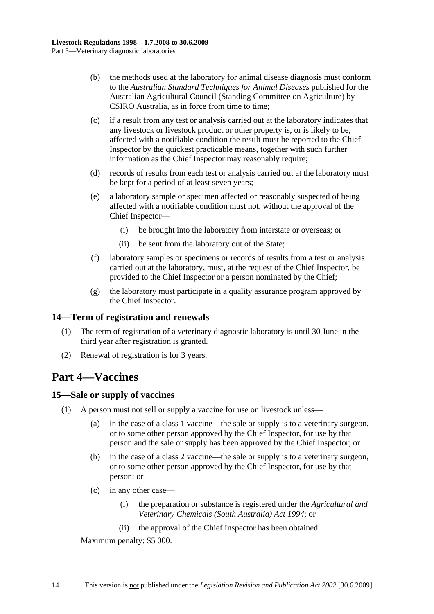- (b) the methods used at the laboratory for animal disease diagnosis must conform to the *Australian Standard Techniques for Animal Diseases* published for the Australian Agricultural Council (Standing Committee on Agriculture) by CSIRO Australia, as in force from time to time;
- (c) if a result from any test or analysis carried out at the laboratory indicates that any livestock or livestock product or other property is, or is likely to be, affected with a notifiable condition the result must be reported to the Chief Inspector by the quickest practicable means, together with such further information as the Chief Inspector may reasonably require;
- (d) records of results from each test or analysis carried out at the laboratory must be kept for a period of at least seven years;
- (e) a laboratory sample or specimen affected or reasonably suspected of being affected with a notifiable condition must not, without the approval of the Chief Inspector—
	- (i) be brought into the laboratory from interstate or overseas; or
	- (ii) be sent from the laboratory out of the State;
- (f) laboratory samples or specimens or records of results from a test or analysis carried out at the laboratory, must, at the request of the Chief Inspector, be provided to the Chief Inspector or a person nominated by the Chief;
- (g) the laboratory must participate in a quality assurance program approved by the Chief Inspector.

## **14—Term of registration and renewals**

- (1) The term of registration of a veterinary diagnostic laboratory is until 30 June in the third year after registration is granted.
- (2) Renewal of registration is for 3 years.

# **Part 4—Vaccines**

#### **15—Sale or supply of vaccines**

- (1) A person must not sell or supply a vaccine for use on livestock unless—
	- (a) in the case of a class 1 vaccine—the sale or supply is to a veterinary surgeon, or to some other person approved by the Chief Inspector, for use by that person and the sale or supply has been approved by the Chief Inspector; or
	- (b) in the case of a class 2 vaccine—the sale or supply is to a veterinary surgeon, or to some other person approved by the Chief Inspector, for use by that person; or
	- (c) in any other case—
		- (i) the preparation or substance is registered under the *Agricultural and Veterinary Chemicals (South Australia) Act 1994*; or
		- (ii) the approval of the Chief Inspector has been obtained.

Maximum penalty: \$5 000.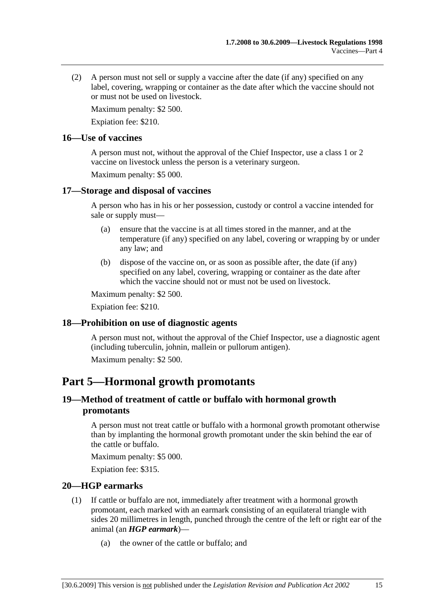(2) A person must not sell or supply a vaccine after the date (if any) specified on any label, covering, wrapping or container as the date after which the vaccine should not or must not be used on livestock.

Maximum penalty: \$2 500.

Expiation fee: \$210.

### **16—Use of vaccines**

A person must not, without the approval of the Chief Inspector, use a class 1 or 2 vaccine on livestock unless the person is a veterinary surgeon.

Maximum penalty: \$5 000.

## **17—Storage and disposal of vaccines**

A person who has in his or her possession, custody or control a vaccine intended for sale or supply must—

- (a) ensure that the vaccine is at all times stored in the manner, and at the temperature (if any) specified on any label, covering or wrapping by or under any law; and
- (b) dispose of the vaccine on, or as soon as possible after, the date (if any) specified on any label, covering, wrapping or container as the date after which the vaccine should not or must not be used on livestock.

Maximum penalty: \$2 500.

Expiation fee: \$210.

## **18—Prohibition on use of diagnostic agents**

A person must not, without the approval of the Chief Inspector, use a diagnostic agent (including tuberculin, johnin, mallein or pullorum antigen).

Maximum penalty: \$2 500.

# **Part 5—Hormonal growth promotants**

## **19—Method of treatment of cattle or buffalo with hormonal growth promotants**

A person must not treat cattle or buffalo with a hormonal growth promotant otherwise than by implanting the hormonal growth promotant under the skin behind the ear of the cattle or buffalo.

Maximum penalty: \$5 000.

Expiation fee: \$315.

## **20—HGP earmarks**

- (1) If cattle or buffalo are not, immediately after treatment with a hormonal growth promotant, each marked with an earmark consisting of an equilateral triangle with sides 20 millimetres in length, punched through the centre of the left or right ear of the animal (an *HGP earmark*)—
	- (a) the owner of the cattle or buffalo; and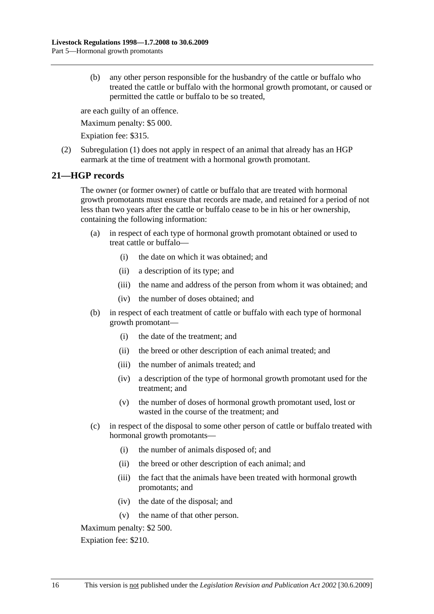(b) any other person responsible for the husbandry of the cattle or buffalo who treated the cattle or buffalo with the hormonal growth promotant, or caused or permitted the cattle or buffalo to be so treated,

are each guilty of an offence.

Maximum penalty: \$5 000.

Expiation fee: \$315.

 (2) Subregulation (1) does not apply in respect of an animal that already has an HGP earmark at the time of treatment with a hormonal growth promotant.

### **21—HGP records**

The owner (or former owner) of cattle or buffalo that are treated with hormonal growth promotants must ensure that records are made, and retained for a period of not less than two years after the cattle or buffalo cease to be in his or her ownership, containing the following information:

- (a) in respect of each type of hormonal growth promotant obtained or used to treat cattle or buffalo—
	- (i) the date on which it was obtained; and
	- (ii) a description of its type; and
	- (iii) the name and address of the person from whom it was obtained; and
	- (iv) the number of doses obtained; and
- (b) in respect of each treatment of cattle or buffalo with each type of hormonal growth promotant—
	- (i) the date of the treatment; and
	- (ii) the breed or other description of each animal treated; and
	- (iii) the number of animals treated; and
	- (iv) a description of the type of hormonal growth promotant used for the treatment; and
	- (v) the number of doses of hormonal growth promotant used, lost or wasted in the course of the treatment; and
- (c) in respect of the disposal to some other person of cattle or buffalo treated with hormonal growth promotants—
	- (i) the number of animals disposed of; and
	- (ii) the breed or other description of each animal; and
	- (iii) the fact that the animals have been treated with hormonal growth promotants; and
	- (iv) the date of the disposal; and
	- (v) the name of that other person.

Maximum penalty: \$2 500.

Expiation fee: \$210.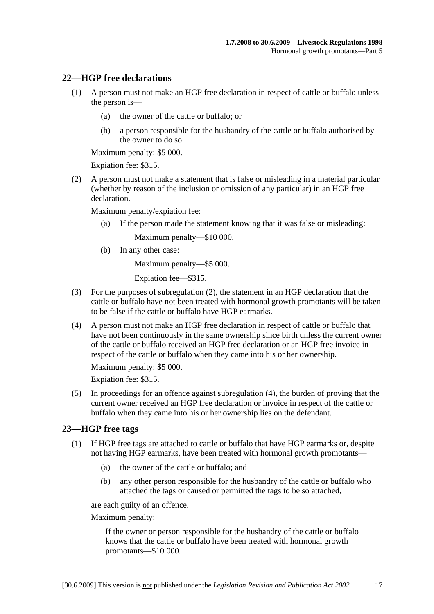### **22—HGP free declarations**

- (1) A person must not make an HGP free declaration in respect of cattle or buffalo unless the person is—
	- (a) the owner of the cattle or buffalo; or
	- (b) a person responsible for the husbandry of the cattle or buffalo authorised by the owner to do so.

Maximum penalty: \$5 000.

Expiation fee: \$315.

 (2) A person must not make a statement that is false or misleading in a material particular (whether by reason of the inclusion or omission of any particular) in an HGP free declaration.

Maximum penalty/expiation fee:

(a) If the person made the statement knowing that it was false or misleading:

Maximum penalty—\$10 000.

(b) In any other case:

Maximum penalty—\$5 000.

Expiation fee—\$315.

- (3) For the purposes of subregulation (2), the statement in an HGP declaration that the cattle or buffalo have not been treated with hormonal growth promotants will be taken to be false if the cattle or buffalo have HGP earmarks.
- (4) A person must not make an HGP free declaration in respect of cattle or buffalo that have not been continuously in the same ownership since birth unless the current owner of the cattle or buffalo received an HGP free declaration or an HGP free invoice in respect of the cattle or buffalo when they came into his or her ownership.

Maximum penalty: \$5 000.

Expiation fee: \$315.

 (5) In proceedings for an offence against subregulation (4), the burden of proving that the current owner received an HGP free declaration or invoice in respect of the cattle or buffalo when they came into his or her ownership lies on the defendant.

#### **23—HGP free tags**

- (1) If HGP free tags are attached to cattle or buffalo that have HGP earmarks or, despite not having HGP earmarks, have been treated with hormonal growth promotants—
	- (a) the owner of the cattle or buffalo; and
	- (b) any other person responsible for the husbandry of the cattle or buffalo who attached the tags or caused or permitted the tags to be so attached,

are each guilty of an offence.

Maximum penalty:

If the owner or person responsible for the husbandry of the cattle or buffalo knows that the cattle or buffalo have been treated with hormonal growth promotants—\$10 000.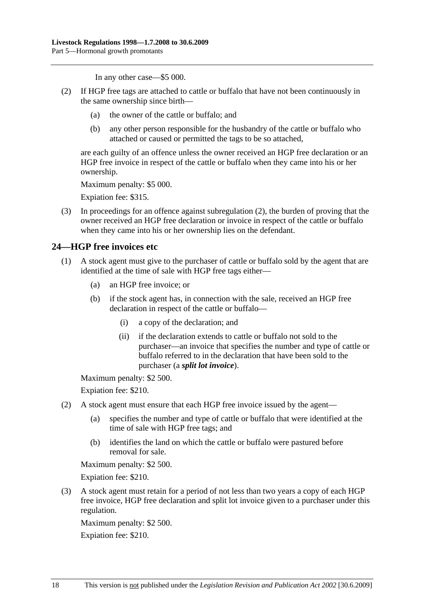In any other case—\$5 000.

- (2) If HGP free tags are attached to cattle or buffalo that have not been continuously in the same ownership since birth—
	- (a) the owner of the cattle or buffalo; and
	- (b) any other person responsible for the husbandry of the cattle or buffalo who attached or caused or permitted the tags to be so attached,

are each guilty of an offence unless the owner received an HGP free declaration or an HGP free invoice in respect of the cattle or buffalo when they came into his or her ownership.

Maximum penalty: \$5 000.

Expiation fee: \$315.

 (3) In proceedings for an offence against subregulation (2), the burden of proving that the owner received an HGP free declaration or invoice in respect of the cattle or buffalo when they came into his or her ownership lies on the defendant.

## **24—HGP free invoices etc**

- (1) A stock agent must give to the purchaser of cattle or buffalo sold by the agent that are identified at the time of sale with HGP free tags either—
	- (a) an HGP free invoice; or
	- (b) if the stock agent has, in connection with the sale, received an HGP free declaration in respect of the cattle or buffalo—
		- (i) a copy of the declaration; and
		- (ii) if the declaration extends to cattle or buffalo not sold to the purchaser—an invoice that specifies the number and type of cattle or buffalo referred to in the declaration that have been sold to the purchaser (a *split lot invoice*).

Maximum penalty: \$2 500.

Expiation fee: \$210.

- (2) A stock agent must ensure that each HGP free invoice issued by the agent—
	- (a) specifies the number and type of cattle or buffalo that were identified at the time of sale with HGP free tags; and
	- (b) identifies the land on which the cattle or buffalo were pastured before removal for sale.

Maximum penalty: \$2 500.

Expiation fee: \$210.

 (3) A stock agent must retain for a period of not less than two years a copy of each HGP free invoice, HGP free declaration and split lot invoice given to a purchaser under this regulation.

Maximum penalty: \$2 500.

Expiation fee: \$210.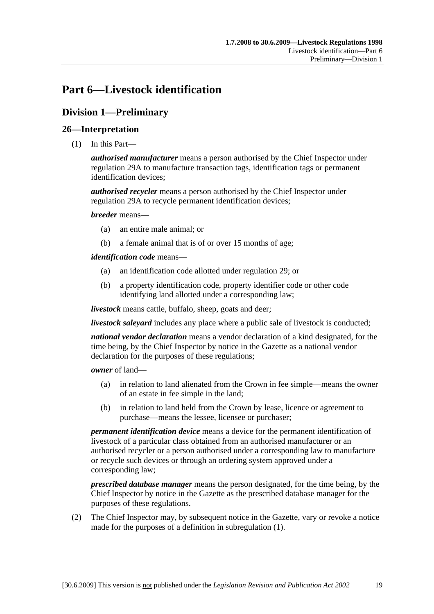# **Part 6—Livestock identification**

# **Division 1—Preliminary**

## **26—Interpretation**

(1) In this Part—

*authorised manufacturer* means a person authorised by the Chief Inspector under regulation 29A to manufacture transaction tags, identification tags or permanent identification devices;

*authorised recycler* means a person authorised by the Chief Inspector under regulation 29A to recycle permanent identification devices;

*breeder* means—

- (a) an entire male animal; or
- (b) a female animal that is of or over 15 months of age;

*identification code* means—

- (a) an identification code allotted under regulation 29; or
- (b) a property identification code, property identifier code or other code identifying land allotted under a corresponding law;

*livestock* means cattle, buffalo, sheep, goats and deer;

*livestock saleyard* includes any place where a public sale of livestock is conducted;

*national vendor declaration* means a vendor declaration of a kind designated, for the time being, by the Chief Inspector by notice in the Gazette as a national vendor declaration for the purposes of these regulations;

*owner* of land—

- (a) in relation to land alienated from the Crown in fee simple—means the owner of an estate in fee simple in the land;
- (b) in relation to land held from the Crown by lease, licence or agreement to purchase—means the lessee, licensee or purchaser;

*permanent identification device* means a device for the permanent identification of livestock of a particular class obtained from an authorised manufacturer or an authorised recycler or a person authorised under a corresponding law to manufacture or recycle such devices or through an ordering system approved under a corresponding law;

*prescribed database manager* means the person designated, for the time being, by the Chief Inspector by notice in the Gazette as the prescribed database manager for the purposes of these regulations.

 (2) The Chief Inspector may, by subsequent notice in the Gazette, vary or revoke a notice made for the purposes of a definition in subregulation (1).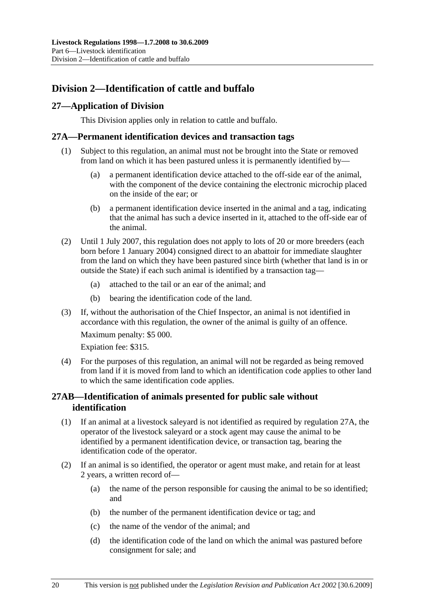# **Division 2—Identification of cattle and buffalo**

## **27—Application of Division**

This Division applies only in relation to cattle and buffalo.

## **27A—Permanent identification devices and transaction tags**

- (1) Subject to this regulation, an animal must not be brought into the State or removed from land on which it has been pastured unless it is permanently identified by—
	- (a) a permanent identification device attached to the off-side ear of the animal, with the component of the device containing the electronic microchip placed on the inside of the ear; or
	- (b) a permanent identification device inserted in the animal and a tag, indicating that the animal has such a device inserted in it, attached to the off-side ear of the animal.
- (2) Until 1 July 2007, this regulation does not apply to lots of 20 or more breeders (each born before 1 January 2004) consigned direct to an abattoir for immediate slaughter from the land on which they have been pastured since birth (whether that land is in or outside the State) if each such animal is identified by a transaction tag—
	- (a) attached to the tail or an ear of the animal; and
	- (b) bearing the identification code of the land.
- (3) If, without the authorisation of the Chief Inspector, an animal is not identified in accordance with this regulation, the owner of the animal is guilty of an offence.

Maximum penalty: \$5 000.

Expiation fee: \$315.

 (4) For the purposes of this regulation, an animal will not be regarded as being removed from land if it is moved from land to which an identification code applies to other land to which the same identification code applies.

## **27AB—Identification of animals presented for public sale without identification**

- (1) If an animal at a livestock saleyard is not identified as required by regulation 27A, the operator of the livestock saleyard or a stock agent may cause the animal to be identified by a permanent identification device, or transaction tag, bearing the identification code of the operator.
- (2) If an animal is so identified, the operator or agent must make, and retain for at least 2 years, a written record of—
	- (a) the name of the person responsible for causing the animal to be so identified; and
	- (b) the number of the permanent identification device or tag; and
	- (c) the name of the vendor of the animal; and
	- (d) the identification code of the land on which the animal was pastured before consignment for sale; and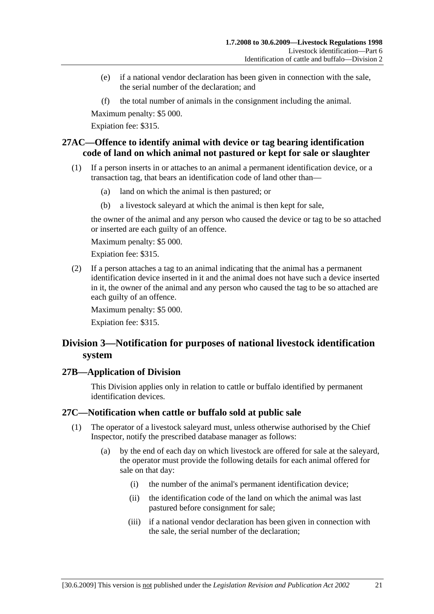- (e) if a national vendor declaration has been given in connection with the sale, the serial number of the declaration; and
- (f) the total number of animals in the consignment including the animal.

Expiation fee: \$315.

## **27AC—Offence to identify animal with device or tag bearing identification code of land on which animal not pastured or kept for sale or slaughter**

- (1) If a person inserts in or attaches to an animal a permanent identification device, or a transaction tag, that bears an identification code of land other than—
	- (a) land on which the animal is then pastured; or
	- (b) a livestock saleyard at which the animal is then kept for sale,

the owner of the animal and any person who caused the device or tag to be so attached or inserted are each guilty of an offence.

Maximum penalty: \$5 000.

Expiation fee: \$315.

 (2) If a person attaches a tag to an animal indicating that the animal has a permanent identification device inserted in it and the animal does not have such a device inserted in it, the owner of the animal and any person who caused the tag to be so attached are each guilty of an offence.

Maximum penalty: \$5 000. Expiation fee: \$315.

# **Division 3—Notification for purposes of national livestock identification system**

#### **27B—Application of Division**

This Division applies only in relation to cattle or buffalo identified by permanent identification devices.

## **27C—Notification when cattle or buffalo sold at public sale**

- (1) The operator of a livestock saleyard must, unless otherwise authorised by the Chief Inspector, notify the prescribed database manager as follows:
	- (a) by the end of each day on which livestock are offered for sale at the saleyard, the operator must provide the following details for each animal offered for sale on that day:
		- (i) the number of the animal's permanent identification device;
		- (ii) the identification code of the land on which the animal was last pastured before consignment for sale;
		- (iii) if a national vendor declaration has been given in connection with the sale, the serial number of the declaration;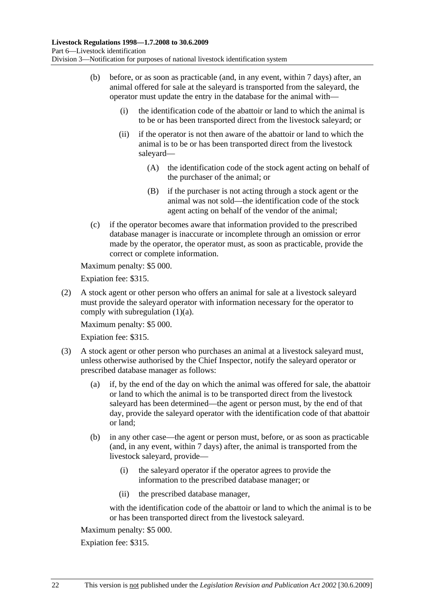- (b) before, or as soon as practicable (and, in any event, within 7 days) after, an animal offered for sale at the saleyard is transported from the saleyard, the operator must update the entry in the database for the animal with—
	- (i) the identification code of the abattoir or land to which the animal is to be or has been transported direct from the livestock saleyard; or
	- (ii) if the operator is not then aware of the abattoir or land to which the animal is to be or has been transported direct from the livestock saleyard—
		- (A) the identification code of the stock agent acting on behalf of the purchaser of the animal; or
		- (B) if the purchaser is not acting through a stock agent or the animal was not sold—the identification code of the stock agent acting on behalf of the vendor of the animal;
- (c) if the operator becomes aware that information provided to the prescribed database manager is inaccurate or incomplete through an omission or error made by the operator, the operator must, as soon as practicable, provide the correct or complete information.

Expiation fee: \$315.

 (2) A stock agent or other person who offers an animal for sale at a livestock saleyard must provide the saleyard operator with information necessary for the operator to comply with subregulation (1)(a).

Maximum penalty: \$5 000.

Expiation fee: \$315.

- (3) A stock agent or other person who purchases an animal at a livestock saleyard must, unless otherwise authorised by the Chief Inspector, notify the saleyard operator or prescribed database manager as follows:
	- (a) if, by the end of the day on which the animal was offered for sale, the abattoir or land to which the animal is to be transported direct from the livestock saleyard has been determined—the agent or person must, by the end of that day, provide the saleyard operator with the identification code of that abattoir or land;
	- (b) in any other case—the agent or person must, before, or as soon as practicable (and, in any event, within 7 days) after, the animal is transported from the livestock saleyard, provide—
		- (i) the saleyard operator if the operator agrees to provide the information to the prescribed database manager; or
		- (ii) the prescribed database manager,

with the identification code of the abattoir or land to which the animal is to be or has been transported direct from the livestock saleyard.

Maximum penalty: \$5 000.

Expiation fee: \$315.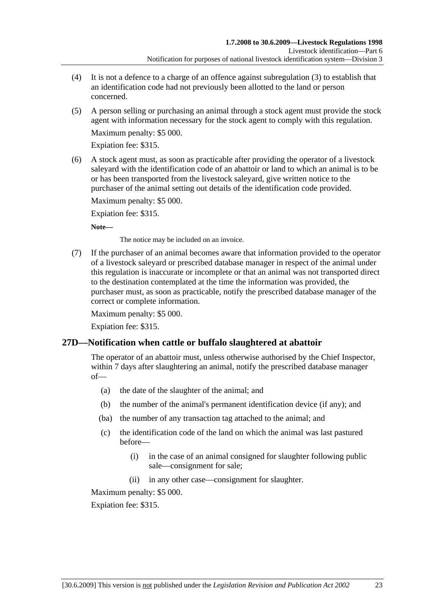- (4) It is not a defence to a charge of an offence against subregulation (3) to establish that an identification code had not previously been allotted to the land or person concerned.
- (5) A person selling or purchasing an animal through a stock agent must provide the stock agent with information necessary for the stock agent to comply with this regulation.

Expiation fee: \$315.

 (6) A stock agent must, as soon as practicable after providing the operator of a livestock saleyard with the identification code of an abattoir or land to which an animal is to be or has been transported from the livestock saleyard, give written notice to the purchaser of the animal setting out details of the identification code provided.

Maximum penalty: \$5 000.

Expiation fee: \$315.

**Note—** 

The notice may be included on an invoice.

 (7) If the purchaser of an animal becomes aware that information provided to the operator of a livestock saleyard or prescribed database manager in respect of the animal under this regulation is inaccurate or incomplete or that an animal was not transported direct to the destination contemplated at the time the information was provided, the purchaser must, as soon as practicable, notify the prescribed database manager of the correct or complete information.

Maximum penalty: \$5 000.

Expiation fee: \$315.

## **27D—Notification when cattle or buffalo slaughtered at abattoir**

The operator of an abattoir must, unless otherwise authorised by the Chief Inspector, within 7 days after slaughtering an animal, notify the prescribed database manager of—

- (a) the date of the slaughter of the animal; and
- (b) the number of the animal's permanent identification device (if any); and
- (ba) the number of any transaction tag attached to the animal; and
- (c) the identification code of the land on which the animal was last pastured before—
	- (i) in the case of an animal consigned for slaughter following public sale—consignment for sale;
	- (ii) in any other case—consignment for slaughter.

Maximum penalty: \$5 000.

Expiation fee: \$315.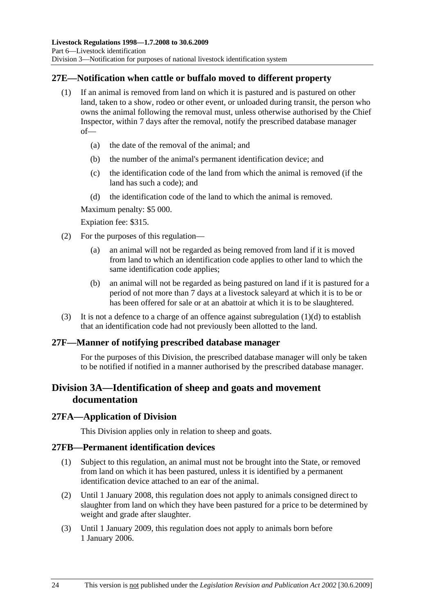## **27E—Notification when cattle or buffalo moved to different property**

- (1) If an animal is removed from land on which it is pastured and is pastured on other land, taken to a show, rodeo or other event, or unloaded during transit, the person who owns the animal following the removal must, unless otherwise authorised by the Chief Inspector, within 7 days after the removal, notify the prescribed database manager of—
	- (a) the date of the removal of the animal; and
	- (b) the number of the animal's permanent identification device; and
	- (c) the identification code of the land from which the animal is removed (if the land has such a code); and
	- (d) the identification code of the land to which the animal is removed.

Maximum penalty: \$5 000.

Expiation fee: \$315.

- (2) For the purposes of this regulation—
	- (a) an animal will not be regarded as being removed from land if it is moved from land to which an identification code applies to other land to which the same identification code applies;
	- (b) an animal will not be regarded as being pastured on land if it is pastured for a period of not more than 7 days at a livestock saleyard at which it is to be or has been offered for sale or at an abattoir at which it is to be slaughtered.
- (3) It is not a defence to a charge of an offence against subregulation  $(1)(d)$  to establish that an identification code had not previously been allotted to the land.

#### **27F—Manner of notifying prescribed database manager**

For the purposes of this Division, the prescribed database manager will only be taken to be notified if notified in a manner authorised by the prescribed database manager.

# **Division 3A—Identification of sheep and goats and movement documentation**

#### **27FA—Application of Division**

This Division applies only in relation to sheep and goats.

#### **27FB—Permanent identification devices**

- (1) Subject to this regulation, an animal must not be brought into the State, or removed from land on which it has been pastured, unless it is identified by a permanent identification device attached to an ear of the animal.
- (2) Until 1 January 2008, this regulation does not apply to animals consigned direct to slaughter from land on which they have been pastured for a price to be determined by weight and grade after slaughter.
- (3) Until 1 January 2009, this regulation does not apply to animals born before 1 January 2006.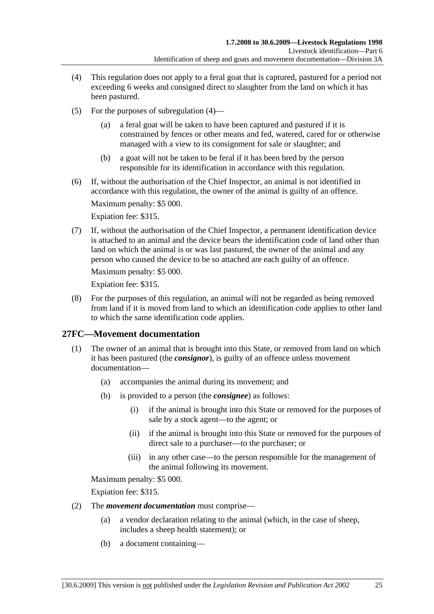- (4) This regulation does not apply to a feral goat that is captured, pastured for a period not exceeding 6 weeks and consigned direct to slaughter from the land on which it has been pastured.
- (5) For the purposes of subregulation (4)
	- a feral goat will be taken to have been captured and pastured if it is constrained by fences or other means and fed, watered, cared for or otherwise managed with a view to its consignment for sale or slaughter; and
	- (b) a goat will not be taken to be feral if it has been bred by the person responsible for its identification in accordance with this regulation.
- (6) If, without the authorisation of the Chief Inspector, an animal is not identified in accordance with this regulation, the owner of the animal is guilty of an offence.

Expiation fee: \$315.

 (7) If, without the authorisation of the Chief Inspector, a permanent identification device is attached to an animal and the device bears the identification code of land other than land on which the animal is or was last pastured, the owner of the animal and any person who caused the device to be so attached are each guilty of an offence.

Maximum penalty: \$5 000.

Expiation fee: \$315.

 (8) For the purposes of this regulation, an animal will not be regarded as being removed from land if it is moved from land to which an identification code applies to other land to which the same identification code applies.

## **27FC—Movement documentation**

- (1) The owner of an animal that is brought into this State, or removed from land on which it has been pastured (the *consignor*), is guilty of an offence unless movement documentation—
	- (a) accompanies the animal during its movement; and
	- (b) is provided to a person (the *consignee*) as follows:
		- (i) if the animal is brought into this State or removed for the purposes of sale by a stock agent—to the agent; or
		- (ii) if the animal is brought into this State or removed for the purposes of direct sale to a purchaser—to the purchaser; or
		- (iii) in any other case—to the person responsible for the management of the animal following its movement.

Maximum penalty: \$5 000.

Expiation fee: \$315.

- (2) The *movement documentation* must comprise—
	- (a) a vendor declaration relating to the animal (which, in the case of sheep, includes a sheep health statement); or
	- (b) a document containing—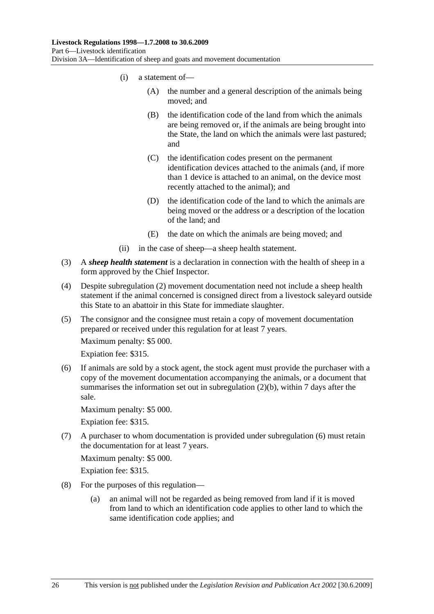- (i) a statement of—
	- (A) the number and a general description of the animals being moved; and
	- (B) the identification code of the land from which the animals are being removed or, if the animals are being brought into the State, the land on which the animals were last pastured; and
	- (C) the identification codes present on the permanent identification devices attached to the animals (and, if more than 1 device is attached to an animal, on the device most recently attached to the animal); and
	- (D) the identification code of the land to which the animals are being moved or the address or a description of the location of the land; and
	- (E) the date on which the animals are being moved; and
- (ii) in the case of sheep—a sheep health statement.
- (3) A *sheep health statement* is a declaration in connection with the health of sheep in a form approved by the Chief Inspector.
- (4) Despite subregulation (2) movement documentation need not include a sheep health statement if the animal concerned is consigned direct from a livestock saleyard outside this State to an abattoir in this State for immediate slaughter.
- (5) The consignor and the consignee must retain a copy of movement documentation prepared or received under this regulation for at least 7 years.

Expiation fee: \$315.

 (6) If animals are sold by a stock agent, the stock agent must provide the purchaser with a copy of the movement documentation accompanying the animals, or a document that summarises the information set out in subregulation (2)(b), within 7 days after the sale.

Maximum penalty: \$5 000.

Expiation fee: \$315.

 (7) A purchaser to whom documentation is provided under subregulation (6) must retain the documentation for at least 7 years.

Maximum penalty: \$5 000.

Expiation fee: \$315.

- (8) For the purposes of this regulation—
	- (a) an animal will not be regarded as being removed from land if it is moved from land to which an identification code applies to other land to which the same identification code applies; and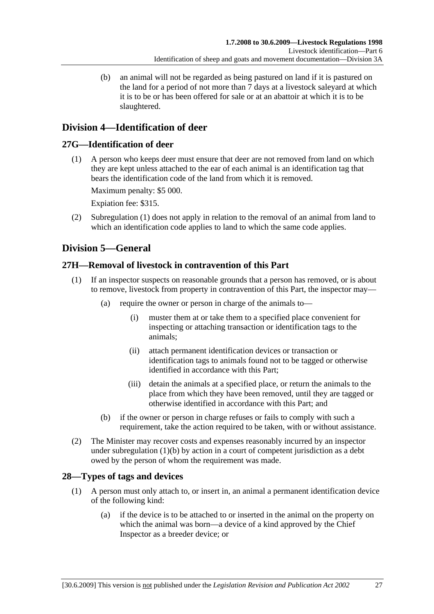(b) an animal will not be regarded as being pastured on land if it is pastured on the land for a period of not more than 7 days at a livestock saleyard at which it is to be or has been offered for sale or at an abattoir at which it is to be slaughtered.

# **Division 4—Identification of deer**

## **27G—Identification of deer**

 (1) A person who keeps deer must ensure that deer are not removed from land on which they are kept unless attached to the ear of each animal is an identification tag that bears the identification code of the land from which it is removed.

Maximum penalty: \$5 000.

Expiation fee: \$315.

 (2) Subregulation (1) does not apply in relation to the removal of an animal from land to which an identification code applies to land to which the same code applies.

# **Division 5—General**

## **27H—Removal of livestock in contravention of this Part**

- (1) If an inspector suspects on reasonable grounds that a person has removed, or is about to remove, livestock from property in contravention of this Part, the inspector may—
	- (a) require the owner or person in charge of the animals to—
		- (i) muster them at or take them to a specified place convenient for inspecting or attaching transaction or identification tags to the animals;
		- (ii) attach permanent identification devices or transaction or identification tags to animals found not to be tagged or otherwise identified in accordance with this Part;
		- (iii) detain the animals at a specified place, or return the animals to the place from which they have been removed, until they are tagged or otherwise identified in accordance with this Part; and
	- (b) if the owner or person in charge refuses or fails to comply with such a requirement, take the action required to be taken, with or without assistance.
- (2) The Minister may recover costs and expenses reasonably incurred by an inspector under subregulation (1)(b) by action in a court of competent jurisdiction as a debt owed by the person of whom the requirement was made.

# **28—Types of tags and devices**

- (1) A person must only attach to, or insert in, an animal a permanent identification device of the following kind:
	- (a) if the device is to be attached to or inserted in the animal on the property on which the animal was born—a device of a kind approved by the Chief Inspector as a breeder device; or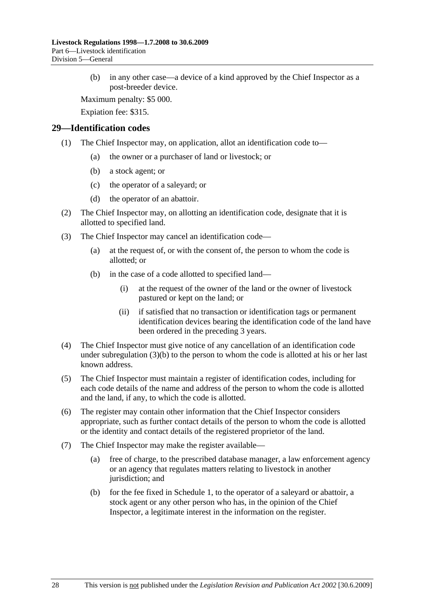(b) in any other case—a device of a kind approved by the Chief Inspector as a post-breeder device.

Maximum penalty: \$5 000.

Expiation fee: \$315.

#### **29—Identification codes**

- (1) The Chief Inspector may, on application, allot an identification code to—
	- (a) the owner or a purchaser of land or livestock; or
	- (b) a stock agent; or
	- (c) the operator of a saleyard; or
	- (d) the operator of an abattoir.
- (2) The Chief Inspector may, on allotting an identification code, designate that it is allotted to specified land.
- (3) The Chief Inspector may cancel an identification code—
	- (a) at the request of, or with the consent of, the person to whom the code is allotted; or
	- (b) in the case of a code allotted to specified land—
		- (i) at the request of the owner of the land or the owner of livestock pastured or kept on the land; or
		- (ii) if satisfied that no transaction or identification tags or permanent identification devices bearing the identification code of the land have been ordered in the preceding 3 years.
- (4) The Chief Inspector must give notice of any cancellation of an identification code under subregulation  $(3)(b)$  to the person to whom the code is allotted at his or her last known address.
- (5) The Chief Inspector must maintain a register of identification codes, including for each code details of the name and address of the person to whom the code is allotted and the land, if any, to which the code is allotted.
- (6) The register may contain other information that the Chief Inspector considers appropriate, such as further contact details of the person to whom the code is allotted or the identity and contact details of the registered proprietor of the land.
- (7) The Chief Inspector may make the register available—
	- (a) free of charge, to the prescribed database manager, a law enforcement agency or an agency that regulates matters relating to livestock in another jurisdiction; and
	- (b) for the fee fixed in Schedule 1, to the operator of a saleyard or abattoir, a stock agent or any other person who has, in the opinion of the Chief Inspector, a legitimate interest in the information on the register.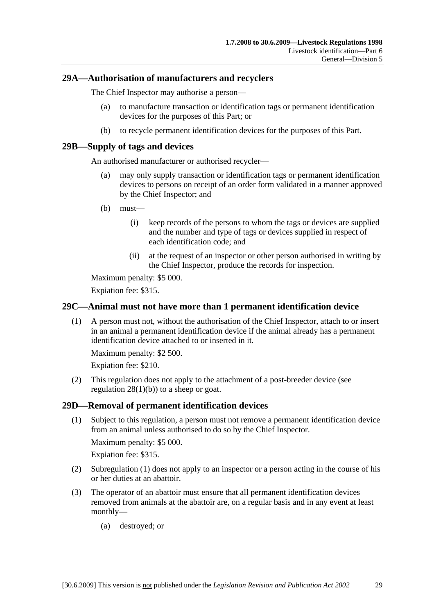### **29A—Authorisation of manufacturers and recyclers**

The Chief Inspector may authorise a person—

- (a) to manufacture transaction or identification tags or permanent identification devices for the purposes of this Part; or
- (b) to recycle permanent identification devices for the purposes of this Part.

### **29B—Supply of tags and devices**

An authorised manufacturer or authorised recycler—

- (a) may only supply transaction or identification tags or permanent identification devices to persons on receipt of an order form validated in a manner approved by the Chief Inspector; and
- (b) must—
	- (i) keep records of the persons to whom the tags or devices are supplied and the number and type of tags or devices supplied in respect of each identification code; and
	- (ii) at the request of an inspector or other person authorised in writing by the Chief Inspector, produce the records for inspection.

Maximum penalty: \$5 000.

Expiation fee: \$315.

### **29C—Animal must not have more than 1 permanent identification device**

 (1) A person must not, without the authorisation of the Chief Inspector, attach to or insert in an animal a permanent identification device if the animal already has a permanent identification device attached to or inserted in it.

Maximum penalty: \$2 500.

Expiation fee: \$210.

 (2) This regulation does not apply to the attachment of a post-breeder device (see regulation  $28(1)(b)$  to a sheep or goat.

#### **29D—Removal of permanent identification devices**

 (1) Subject to this regulation, a person must not remove a permanent identification device from an animal unless authorised to do so by the Chief Inspector.

Maximum penalty: \$5 000.

Expiation fee: \$315.

- (2) Subregulation (1) does not apply to an inspector or a person acting in the course of his or her duties at an abattoir.
- (3) The operator of an abattoir must ensure that all permanent identification devices removed from animals at the abattoir are, on a regular basis and in any event at least monthly—
	- (a) destroyed; or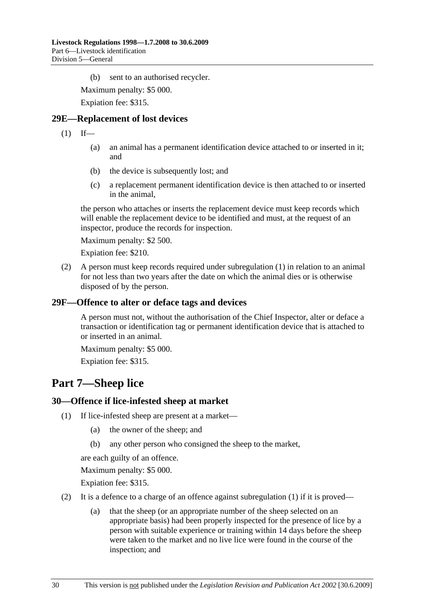(b) sent to an authorised recycler.

Maximum penalty: \$5 000.

Expiation fee: \$315.

### **29E—Replacement of lost devices**

 $(1)$  If—

- (a) an animal has a permanent identification device attached to or inserted in it; and
- (b) the device is subsequently lost; and
- (c) a replacement permanent identification device is then attached to or inserted in the animal,

the person who attaches or inserts the replacement device must keep records which will enable the replacement device to be identified and must, at the request of an inspector, produce the records for inspection.

Maximum penalty: \$2 500.

Expiation fee: \$210.

 (2) A person must keep records required under subregulation (1) in relation to an animal for not less than two years after the date on which the animal dies or is otherwise disposed of by the person.

### **29F—Offence to alter or deface tags and devices**

A person must not, without the authorisation of the Chief Inspector, alter or deface a transaction or identification tag or permanent identification device that is attached to or inserted in an animal.

Maximum penalty: \$5 000.

Expiation fee: \$315.

# **Part 7—Sheep lice**

#### **30—Offence if lice-infested sheep at market**

- (1) If lice-infested sheep are present at a market—
	- (a) the owner of the sheep; and
	- (b) any other person who consigned the sheep to the market,

are each guilty of an offence.

Maximum penalty: \$5 000.

Expiation fee: \$315.

- (2) It is a defence to a charge of an offence against subregulation  $(1)$  if it is proved—
	- (a) that the sheep (or an appropriate number of the sheep selected on an appropriate basis) had been properly inspected for the presence of lice by a person with suitable experience or training within 14 days before the sheep were taken to the market and no live lice were found in the course of the inspection; and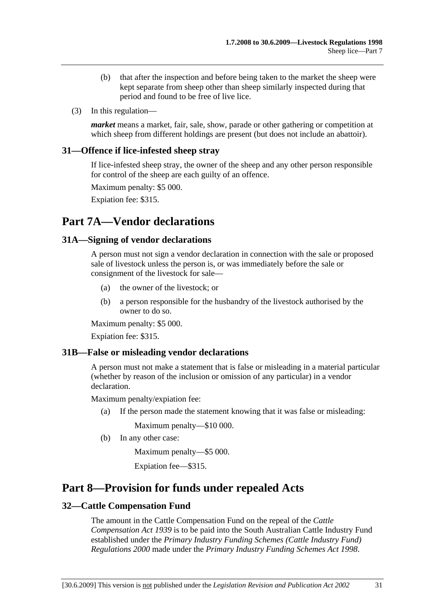- (b) that after the inspection and before being taken to the market the sheep were kept separate from sheep other than sheep similarly inspected during that period and found to be free of live lice.
- (3) In this regulation—

*market* means a market, fair, sale, show, parade or other gathering or competition at which sheep from different holdings are present (but does not include an abattoir).

#### **31—Offence if lice-infested sheep stray**

If lice-infested sheep stray, the owner of the sheep and any other person responsible for control of the sheep are each guilty of an offence.

Maximum penalty: \$5 000.

Expiation fee: \$315.

# **Part 7A—Vendor declarations**

#### **31A—Signing of vendor declarations**

A person must not sign a vendor declaration in connection with the sale or proposed sale of livestock unless the person is, or was immediately before the sale or consignment of the livestock for sale—

- (a) the owner of the livestock; or
- (b) a person responsible for the husbandry of the livestock authorised by the owner to do so.

Maximum penalty: \$5 000.

Expiation fee: \$315.

#### **31B—False or misleading vendor declarations**

A person must not make a statement that is false or misleading in a material particular (whether by reason of the inclusion or omission of any particular) in a vendor declaration.

Maximum penalty/expiation fee:

(a) If the person made the statement knowing that it was false or misleading:

Maximum penalty—\$10 000.

(b) In any other case:

Maximum penalty—\$5 000.

Expiation fee—\$315.

# **Part 8—Provision for funds under repealed Acts**

### **32—Cattle Compensation Fund**

The amount in the Cattle Compensation Fund on the repeal of the *Cattle Compensation Act 1939* is to be paid into the South Australian Cattle Industry Fund established under the *Primary Industry Funding Schemes (Cattle Industry Fund) Regulations 2000* made under the *Primary Industry Funding Schemes Act 1998*.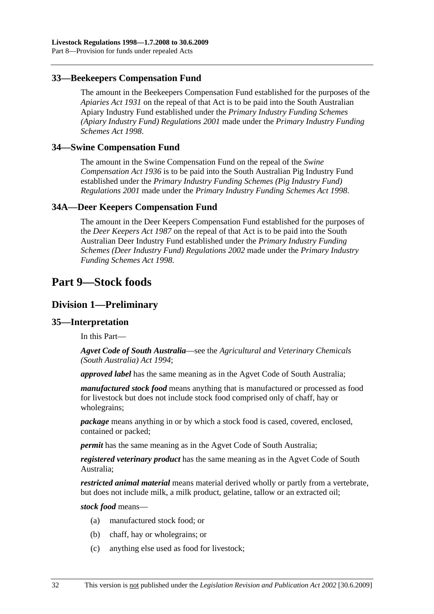### **33—Beekeepers Compensation Fund**

The amount in the Beekeepers Compensation Fund established for the purposes of the *Apiaries Act 1931* on the repeal of that Act is to be paid into the South Australian Apiary Industry Fund established under the *Primary Industry Funding Schemes (Apiary Industry Fund) Regulations 2001* made under the *Primary Industry Funding Schemes Act 1998*.

#### **34—Swine Compensation Fund**

The amount in the Swine Compensation Fund on the repeal of the *Swine Compensation Act 1936* is to be paid into the South Australian Pig Industry Fund established under the *Primary Industry Funding Schemes (Pig Industry Fund) Regulations 2001* made under the *Primary Industry Funding Schemes Act 1998*.

#### **34A—Deer Keepers Compensation Fund**

The amount in the Deer Keepers Compensation Fund established for the purposes of the *Deer Keepers Act 1987* on the repeal of that Act is to be paid into the South Australian Deer Industry Fund established under the *Primary Industry Funding Schemes (Deer Industry Fund) Regulations 2002* made under the *Primary Industry Funding Schemes Act 1998*.

# **Part 9—Stock foods**

### **Division 1—Preliminary**

#### **35—Interpretation**

In this Part—

*Agvet Code of South Australia*—see the *Agricultural and Veterinary Chemicals (South Australia) Act 1994*;

*approved label* has the same meaning as in the Agvet Code of South Australia;

*manufactured stock food* means anything that is manufactured or processed as food for livestock but does not include stock food comprised only of chaff, hay or wholegrains;

*package* means anything in or by which a stock food is cased, covered, enclosed, contained or packed;

*permit* has the same meaning as in the Agvet Code of South Australia;

*registered veterinary product* has the same meaning as in the Agvet Code of South Australia;

*restricted animal material* means material derived wholly or partly from a vertebrate, but does not include milk, a milk product, gelatine, tallow or an extracted oil;

*stock food* means—

- (a) manufactured stock food; or
- (b) chaff, hay or wholegrains; or
- (c) anything else used as food for livestock;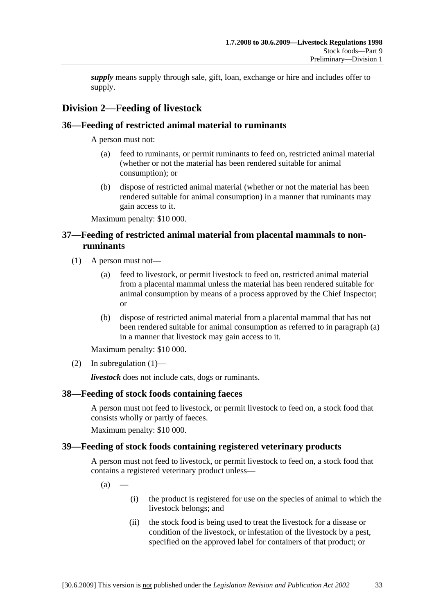*supply* means supply through sale, gift, loan, exchange or hire and includes offer to supply.

# **Division 2—Feeding of livestock**

## **36—Feeding of restricted animal material to ruminants**

A person must not:

- (a) feed to ruminants, or permit ruminants to feed on, restricted animal material (whether or not the material has been rendered suitable for animal consumption); or
- (b) dispose of restricted animal material (whether or not the material has been rendered suitable for animal consumption) in a manner that ruminants may gain access to it.

Maximum penalty: \$10 000.

## **37—Feeding of restricted animal material from placental mammals to nonruminants**

- (1) A person must not—
	- (a) feed to livestock, or permit livestock to feed on, restricted animal material from a placental mammal unless the material has been rendered suitable for animal consumption by means of a process approved by the Chief Inspector; or
	- (b) dispose of restricted animal material from a placental mammal that has not been rendered suitable for animal consumption as referred to in paragraph (a) in a manner that livestock may gain access to it.

Maximum penalty: \$10 000.

(2) In subregulation  $(1)$ —

*livestock* does not include cats, dogs or ruminants.

## **38—Feeding of stock foods containing faeces**

A person must not feed to livestock, or permit livestock to feed on, a stock food that consists wholly or partly of faeces.

Maximum penalty: \$10 000.

## **39—Feeding of stock foods containing registered veterinary products**

A person must not feed to livestock, or permit livestock to feed on, a stock food that contains a registered veterinary product unless—

 $(a)$ 

- (i) the product is registered for use on the species of animal to which the livestock belongs; and
- (ii) the stock food is being used to treat the livestock for a disease or condition of the livestock, or infestation of the livestock by a pest, specified on the approved label for containers of that product; or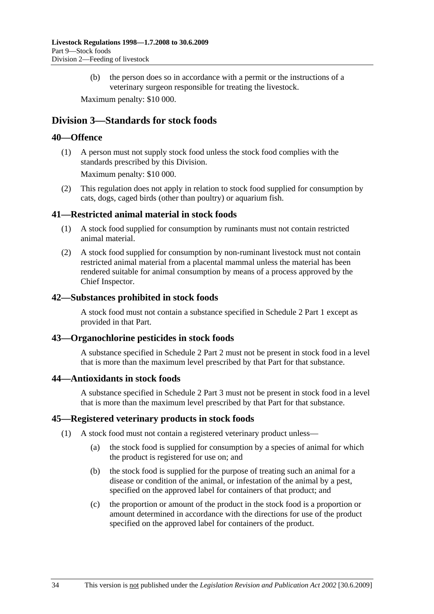(b) the person does so in accordance with a permit or the instructions of a veterinary surgeon responsible for treating the livestock.

Maximum penalty: \$10 000.

## **Division 3—Standards for stock foods**

## **40—Offence**

 (1) A person must not supply stock food unless the stock food complies with the standards prescribed by this Division.

Maximum penalty: \$10 000.

 (2) This regulation does not apply in relation to stock food supplied for consumption by cats, dogs, caged birds (other than poultry) or aquarium fish.

### **41—Restricted animal material in stock foods**

- (1) A stock food supplied for consumption by ruminants must not contain restricted animal material.
- (2) A stock food supplied for consumption by non-ruminant livestock must not contain restricted animal material from a placental mammal unless the material has been rendered suitable for animal consumption by means of a process approved by the Chief Inspector.

#### **42—Substances prohibited in stock foods**

A stock food must not contain a substance specified in Schedule 2 Part 1 except as provided in that Part.

## **43—Organochlorine pesticides in stock foods**

A substance specified in Schedule 2 Part 2 must not be present in stock food in a level that is more than the maximum level prescribed by that Part for that substance.

#### **44—Antioxidants in stock foods**

A substance specified in Schedule 2 Part 3 must not be present in stock food in a level that is more than the maximum level prescribed by that Part for that substance.

#### **45—Registered veterinary products in stock foods**

- (1) A stock food must not contain a registered veterinary product unless—
	- (a) the stock food is supplied for consumption by a species of animal for which the product is registered for use on; and
	- (b) the stock food is supplied for the purpose of treating such an animal for a disease or condition of the animal, or infestation of the animal by a pest, specified on the approved label for containers of that product; and
	- (c) the proportion or amount of the product in the stock food is a proportion or amount determined in accordance with the directions for use of the product specified on the approved label for containers of the product.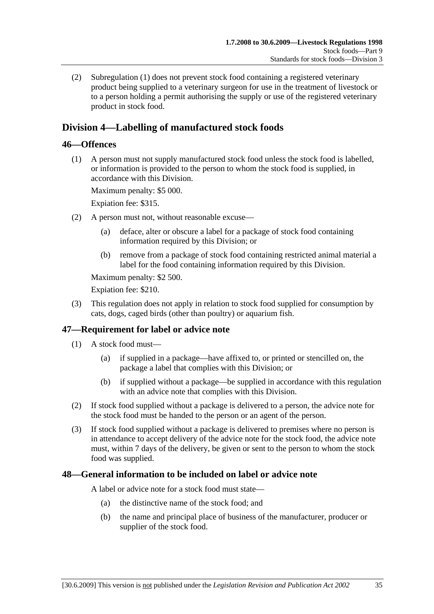(2) Subregulation (1) does not prevent stock food containing a registered veterinary product being supplied to a veterinary surgeon for use in the treatment of livestock or to a person holding a permit authorising the supply or use of the registered veterinary product in stock food.

# **Division 4—Labelling of manufactured stock foods**

## **46—Offences**

 (1) A person must not supply manufactured stock food unless the stock food is labelled, or information is provided to the person to whom the stock food is supplied, in accordance with this Division.

Maximum penalty: \$5 000.

Expiation fee: \$315.

- (2) A person must not, without reasonable excuse—
	- (a) deface, alter or obscure a label for a package of stock food containing information required by this Division; or
	- (b) remove from a package of stock food containing restricted animal material a label for the food containing information required by this Division.

Maximum penalty: \$2 500.

Expiation fee: \$210.

 (3) This regulation does not apply in relation to stock food supplied for consumption by cats, dogs, caged birds (other than poultry) or aquarium fish.

## **47—Requirement for label or advice note**

- (1) A stock food must—
	- (a) if supplied in a package—have affixed to, or printed or stencilled on, the package a label that complies with this Division; or
	- (b) if supplied without a package—be supplied in accordance with this regulation with an advice note that complies with this Division.
- (2) If stock food supplied without a package is delivered to a person, the advice note for the stock food must be handed to the person or an agent of the person.
- (3) If stock food supplied without a package is delivered to premises where no person is in attendance to accept delivery of the advice note for the stock food, the advice note must, within 7 days of the delivery, be given or sent to the person to whom the stock food was supplied.

## **48—General information to be included on label or advice note**

A label or advice note for a stock food must state—

- (a) the distinctive name of the stock food; and
- (b) the name and principal place of business of the manufacturer, producer or supplier of the stock food.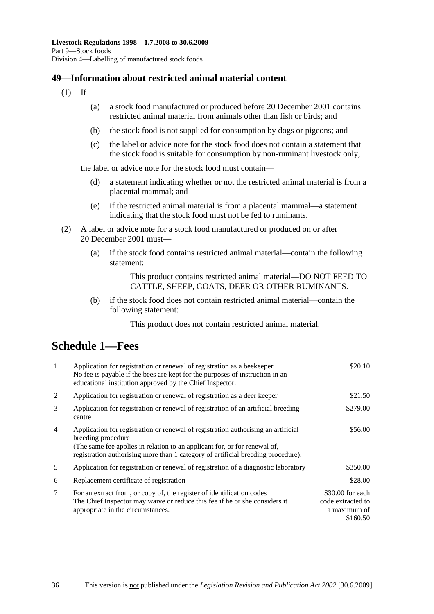## **49—Information about restricted animal material content**

- $(1)$  If—
	- (a) a stock food manufactured or produced before 20 December 2001 contains restricted animal material from animals other than fish or birds; and
	- (b) the stock food is not supplied for consumption by dogs or pigeons; and
	- (c) the label or advice note for the stock food does not contain a statement that the stock food is suitable for consumption by non-ruminant livestock only,

the label or advice note for the stock food must contain—

- (d) a statement indicating whether or not the restricted animal material is from a placental mammal; and
- (e) if the restricted animal material is from a placental mammal—a statement indicating that the stock food must not be fed to ruminants.
- (2) A label or advice note for a stock food manufactured or produced on or after 20 December 2001 must—
	- (a) if the stock food contains restricted animal material—contain the following statement:

This product contains restricted animal material—DO NOT FEED TO CATTLE, SHEEP, GOATS, DEER OR OTHER RUMINANTS.

 (b) if the stock food does not contain restricted animal material—contain the following statement:

This product does not contain restricted animal material.

# **Schedule 1—Fees**

| $\mathbf{1}$   | Application for registration or renewal of registration as a beekeeper<br>No fee is payable if the bees are kept for the purposes of instruction in an<br>educational institution approved by the Chief Inspector.                                                       | \$20.10                                                           |
|----------------|--------------------------------------------------------------------------------------------------------------------------------------------------------------------------------------------------------------------------------------------------------------------------|-------------------------------------------------------------------|
| 2              | Application for registration or renewal of registration as a deer keeper                                                                                                                                                                                                 | \$21.50                                                           |
| 3              | Application for registration or renewal of registration of an artificial breeding<br>centre                                                                                                                                                                              | \$279.00                                                          |
| $\overline{4}$ | Application for registration or renewal of registration authorising an artificial<br>breeding procedure<br>(The same fee applies in relation to an applicant for, or for renewal of,<br>registration authorising more than 1 category of artificial breeding procedure). | \$56.00                                                           |
| 5              | Application for registration or renewal of registration of a diagnostic laboratory                                                                                                                                                                                       | \$350.00                                                          |
| 6              | Replacement certificate of registration                                                                                                                                                                                                                                  | \$28.00                                                           |
| 7              | For an extract from, or copy of, the register of identification codes<br>The Chief Inspector may waive or reduce this fee if he or she considers it<br>appropriate in the circumstances.                                                                                 | \$30.00 for each<br>code extracted to<br>a maximum of<br>\$160.50 |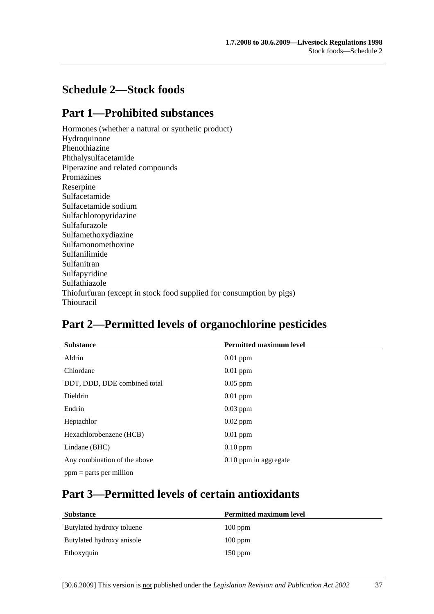# **Schedule 2—Stock foods**

# **Part 1—Prohibited substances**

Hormones (whether a natural or synthetic product) Hydroquinone Phenothiazine Phthalysulfacetamide Piperazine and related compounds Promazines Reserpine Sulfacetamide Sulfacetamide sodium Sulfachloropyridazine Sulfafurazole Sulfamethoxydiazine Sulfamonomethoxine Sulfanilimide Sulfanitran Sulfapyridine Sulfathiazole Thiofurfuran (except in stock food supplied for consumption by pigs) Thiouracil

# **Part 2—Permitted levels of organochlorine pesticides**

| <b>Substance</b>             | <b>Permitted maximum level</b> |
|------------------------------|--------------------------------|
| Aldrin                       | $0.01$ ppm                     |
| Chlordane                    | $0.01$ ppm                     |
| DDT, DDD, DDE combined total | $0.05$ ppm                     |
| <b>Dieldrin</b>              | $0.01$ ppm                     |
| Endrin                       | $0.03$ ppm                     |
| Heptachlor                   | $0.02$ ppm                     |
| Hexachlorobenzene (HCB)      | $0.01$ ppm                     |
| Lindane (BHC)                | $0.10$ ppm                     |
| Any combination of the above | 0.10 ppm in aggregate          |
| $ppm =$ parts per million    |                                |

# **Part 3—Permitted levels of certain antioxidants**

| <b>Substance</b>          | <b>Permitted maximum level</b> |
|---------------------------|--------------------------------|
| Butylated hydroxy toluene | $100$ ppm                      |
| Butylated hydroxy anisole | $100$ ppm                      |
| Ethoxyquin                | $150$ ppm                      |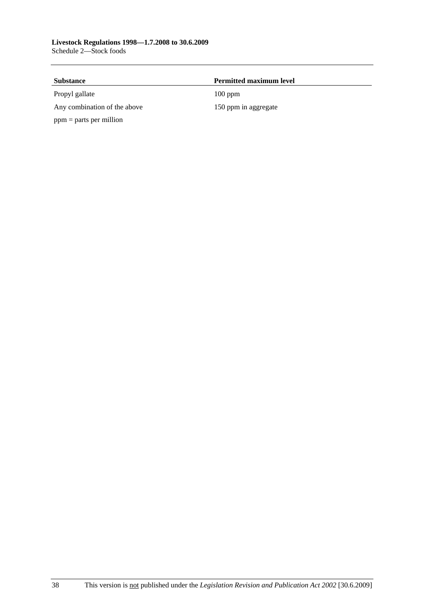| <b>Substance</b>             | <b>Permitted maximum level</b> |  |
|------------------------------|--------------------------------|--|
| Propyl gallate               | $100$ ppm                      |  |
| Any combination of the above | 150 ppm in aggregate           |  |
| $ppm =$ parts per million    |                                |  |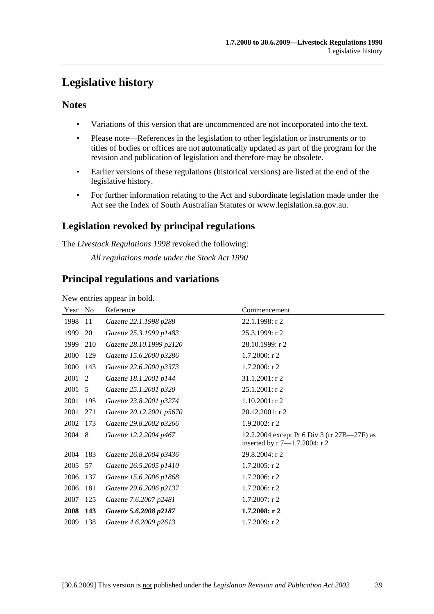# **Legislative history**

## **Notes**

- Variations of this version that are uncommenced are not incorporated into the text.
- Please note—References in the legislation to other legislation or instruments or to titles of bodies or offices are not automatically updated as part of the program for the revision and publication of legislation and therefore may be obsolete.
- Earlier versions of these regulations (historical versions) are listed at the end of the legislative history.
- For further information relating to the Act and subordinate legislation made under the Act see the Index of South Australian Statutes or www.legislation.sa.gov.au.

# **Legislation revoked by principal regulations**

The *Livestock Regulations 1998* revoked the following:

*All regulations made under the Stock Act 1990*

## **Principal regulations and variations**

New entries appear in bold.

| Year | N <sub>0</sub> | Reference                | Commencement                                                                 |
|------|----------------|--------------------------|------------------------------------------------------------------------------|
| 1998 | 11             | Gazette 22.1.1998 p288   | $22.1.1998:$ r 2                                                             |
| 1999 | 20             | Gazette 25.3.1999 p1483  | 25.3.1999: r 2                                                               |
| 1999 | 210            | Gazette 28.10.1999 p2120 | 28.10.1999: r 2                                                              |
| 2000 | 129            | Gazette 15.6.2000 p3286  | $1.7.2000:$ r 2                                                              |
| 2000 | 143            | Gazette 22.6.2000 p3373  | $1.7.2000:$ r 2                                                              |
| 2001 | 2              | Gazette 18.1.2001 p144   | $31.1.2001$ : r 2                                                            |
| 2001 | 5              | Gazette 25.1.2001 p320   | 25.1.2001: r 2                                                               |
| 2001 | 195            | Gazette 23.8.2001 p3274  | $1.10.2001:$ r 2                                                             |
| 2001 | 271            | Gazette 20.12.2001 p5670 | 20.12.2001: r 2                                                              |
| 2002 | 173            | Gazette 29.8.2002 p3266  | $1.9.2002:$ r 2                                                              |
| 2004 | 8              | Gazette 12.2.2004 p467   | 12.2.2004 except Pt 6 Div 3 (rr 27B—27F) as<br>inserted by r 7-1.7.2004: r 2 |
| 2004 | 183            | Gazette 26.8.2004 p3436  | 29.8.2004: r 2                                                               |
| 2005 | 57             | Gazette 26.5.2005 p1410  | $1.7.2005:$ r 2                                                              |
| 2006 | 137            | Gazette 15.6.2006 p1868  | $1.7.2006$ : r 2                                                             |
| 2006 | 181            | Gazette 29.6.2006 p2137  | $1.7.2006$ : r 2                                                             |
| 2007 | 125            | Gazette 7.6.2007 p2481   | $1.7.2007:$ r 2                                                              |
| 2008 | 143            | Gazette 5.6.2008 p2187   | 1.7.2008: $r$ 2                                                              |
| 2009 | 138            | Gazette 4.6.2009 p2613   | 1.7.2009: r2                                                                 |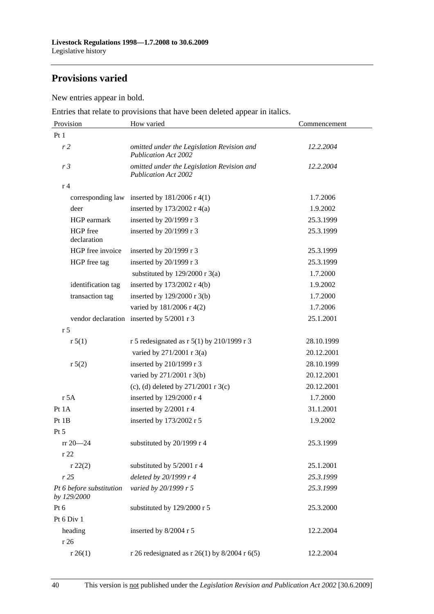# **Provisions varied**

New entries appear in bold.

Entries that relate to provisions that have been deleted appear in italics.

| Provision                               | How varied                                                                | Commencement |
|-----------------------------------------|---------------------------------------------------------------------------|--------------|
| Pt1                                     |                                                                           |              |
| r <sub>2</sub>                          | omitted under the Legislation Revision and<br><b>Publication Act 2002</b> | 12.2.2004    |
| r <sub>3</sub>                          | omitted under the Legislation Revision and<br><b>Publication Act 2002</b> | 12.2.2004    |
| r <sub>4</sub>                          |                                                                           |              |
| corresponding law                       | inserted by $181/2006$ r 4(1)                                             | 1.7.2006     |
| deer                                    | inserted by $173/2002$ r 4(a)                                             | 1.9.2002     |
| HGP earmark                             | inserted by 20/1999 r 3                                                   | 25.3.1999    |
| HGP free<br>declaration                 | inserted by 20/1999 r 3                                                   | 25.3.1999    |
| HGP free invoice                        | inserted by $20/1999$ r 3                                                 | 25.3.1999    |
| HGP free tag                            | inserted by 20/1999 r 3                                                   | 25.3.1999    |
|                                         | substituted by $129/2000$ r 3(a)                                          | 1.7.2000     |
| identification tag                      | inserted by $173/2002$ r 4(b)                                             | 1.9.2002     |
| transaction tag                         | inserted by 129/2000 r 3(b)                                               | 1.7.2000     |
|                                         | varied by 181/2006 r 4(2)                                                 | 1.7.2006     |
|                                         | vendor declaration inserted by 5/2001 r 3                                 | 25.1.2001    |
| r <sub>5</sub>                          |                                                                           |              |
| r 5(1)                                  | r 5 redesignated as r 5(1) by 210/1999 r 3                                | 28.10.1999   |
|                                         | varied by 271/2001 r 3(a)                                                 | 20.12.2001   |
| r 5(2)                                  | inserted by 210/1999 r 3                                                  | 28.10.1999   |
|                                         | varied by 271/2001 r 3(b)                                                 | 20.12.2001   |
|                                         | (c), (d) deleted by $271/2001$ r 3(c)                                     | 20.12.2001   |
| r 5A                                    | inserted by 129/2000 r 4                                                  | 1.7.2000     |
| Pt 1A                                   | inserted by 2/2001 r 4                                                    | 31.1.2001    |
| Pt 1B                                   | inserted by 173/2002 r 5                                                  | 1.9.2002     |
| Pt 5                                    |                                                                           |              |
| $rr 20 - 24$                            | substituted by $20/1999$ r 4                                              | 25.3.1999    |
| r22                                     |                                                                           |              |
| r 22(2)                                 | substituted by 5/2001 r 4                                                 | 25.1.2001    |
| r25                                     | deleted by 20/1999 r 4                                                    | 25.3.1999    |
| Pt 6 before substitution<br>by 129/2000 | varied by 20/1999 r 5                                                     | 25.3.1999    |
| Pt 6                                    | substituted by 129/2000 r 5                                               | 25.3.2000    |
| Pt 6 Div 1                              |                                                                           |              |
| heading                                 | inserted by 8/2004 r 5                                                    | 12.2.2004    |
| r 26                                    |                                                                           |              |
| r 26(1)                                 | r 26 redesignated as r 26(1) by 8/2004 r 6(5)                             | 12.2.2004    |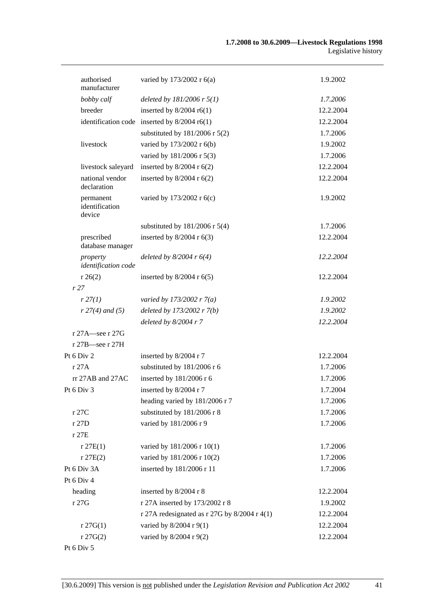| authorised<br>manufacturer            | varied by 173/2002 r 6(a)                      | 1.9.2002  |
|---------------------------------------|------------------------------------------------|-----------|
| bobby calf                            | deleted by $181/2006$ r $5(1)$                 | 1.7.2006  |
| breeder                               | inserted by $8/2004$ r6(1)                     | 12.2.2004 |
|                                       | identification code inserted by $8/2004$ r6(1) | 12.2.2004 |
|                                       | substituted by $181/2006$ r $5(2)$             | 1.7.2006  |
| livestock                             | varied by 173/2002 r 6(b)                      | 1.9.2002  |
|                                       | varied by 181/2006 r 5(3)                      | 1.7.2006  |
| livestock saleyard                    | inserted by $8/2004$ r $6(2)$                  | 12.2.2004 |
| national vendor<br>declaration        | inserted by $8/2004$ r $6(2)$                  | 12.2.2004 |
| permanent<br>identification<br>device | varied by 173/2002 r 6(c)                      | 1.9.2002  |
|                                       | substituted by $181/2006$ r $5(4)$             | 1.7.2006  |
| prescribed<br>database manager        | inserted by $8/2004$ r $6(3)$                  | 12.2.2004 |
| property<br>identification code       | deleted by $8/2004$ r $6(4)$                   | 12.2.2004 |
| r 26(2)                               | inserted by $8/2004$ r $6(5)$                  | 12.2.2004 |
| r27                                   |                                                |           |
| r 27(1)                               | varied by 173/2002 r $7(a)$                    | 1.9.2002  |
| $r 27(4)$ and (5)                     | deleted by 173/2002 r 7(b)                     | 1.9.2002  |
|                                       | deleted by $8/2004$ r 7                        | 12.2.2004 |
| $r 27A$ see r 27G                     |                                                |           |
| r 27B-see r 27H                       |                                                |           |
| Pt 6 Div 2                            | inserted by 8/2004 r 7                         | 12.2.2004 |
| r27A                                  | substituted by 181/2006 r 6                    | 1.7.2006  |
| $rr$ 27AB and 27AC                    | inserted by 181/2006 r 6                       | 1.7.2006  |
| Pt 6 Div 3                            | inserted by 8/2004 r 7                         | 1.7.2004  |
|                                       | heading varied by 181/2006 r 7                 | 1.7.2006  |
| r 27C                                 | substituted by 181/2006 r 8                    | 1.7.2006  |
| r 27D                                 | varied by 181/2006 r 9                         | 1.7.2006  |
| r 27E                                 |                                                |           |
| r 27E(1)                              | varied by 181/2006 r 10(1)                     | 1.7.2006  |
| r 27E(2)                              | varied by 181/2006 r 10(2)                     | 1.7.2006  |
| Pt 6 Div 3A                           | inserted by 181/2006 r 11                      | 1.7.2006  |
| Pt 6 Div 4                            |                                                |           |
| heading                               | inserted by 8/2004 r 8                         | 12.2.2004 |
| r 27G                                 | r 27A inserted by 173/2002 r 8                 | 1.9.2002  |
|                                       | r 27A redesignated as r 27G by $8/2004$ r 4(1) | 12.2.2004 |
| $r \, 27G(1)$                         | varied by 8/2004 r 9(1)                        | 12.2.2004 |
| $r \, 27G(2)$                         | varied by 8/2004 r 9(2)                        | 12.2.2004 |
|                                       |                                                |           |

Pt 6 Div 5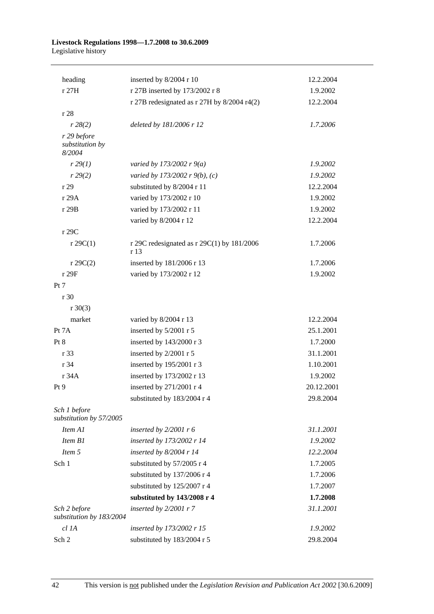#### **Livestock Regulations 1998—1.7.2008 to 30.6.2009**  Legislative history

| heading                                  | inserted by 8/2004 r 10                              | 12.2.2004  |
|------------------------------------------|------------------------------------------------------|------------|
| r 27H                                    | r 27B inserted by 173/2002 r 8                       | 1.9.2002   |
|                                          | r 27B redesignated as $r$ 27H by 8/2004 r4(2)        | 12.2.2004  |
| r 28                                     |                                                      |            |
| r 28(2)                                  | deleted by 181/2006 r 12                             | 1.7.2006   |
| r 29 before<br>substitution by<br>8/2004 |                                                      |            |
| r 29(1)                                  | varied by 173/2002 r $9(a)$                          | 1.9.2002   |
| r 29(2)                                  | varied by 173/2002 r 9(b), (c)                       | 1.9.2002   |
| r29                                      | substituted by 8/2004 r 11                           | 12.2.2004  |
| r 29A                                    | varied by 173/2002 r 10                              | 1.9.2002   |
| r 29B                                    | varied by 173/2002 r 11                              | 1.9.2002   |
|                                          | varied by 8/2004 r 12                                | 12.2.2004  |
| r 29C                                    |                                                      |            |
| $r \, 29C(1)$                            | r 29C redesignated as r 29C(1) by $181/2006$<br>r 13 | 1.7.2006   |
| $r \, 29C(2)$                            | inserted by 181/2006 r 13                            | 1.7.2006   |
| r 29F                                    | varied by 173/2002 r 12                              | 1.9.2002   |
| Pt 7                                     |                                                      |            |
| r 30                                     |                                                      |            |
| $r \ 30(3)$                              |                                                      |            |
| market                                   | varied by 8/2004 r 13                                | 12.2.2004  |
| Pt 7A                                    | inserted by 5/2001 r 5                               | 25.1.2001  |
| Pt 8                                     | inserted by 143/2000 r 3                             | 1.7.2000   |
| r 33                                     | inserted by 2/2001 r 5                               | 31.1.2001  |
| r 34                                     | inserted by 195/2001 r 3                             | 1.10.2001  |
| r 34A                                    | inserted by 173/2002 r 13                            | 1.9.2002   |
| Pt 9                                     | inserted by 271/2001 r 4                             | 20.12.2001 |
|                                          | substituted by 183/2004 r 4                          | 29.8.2004  |
| Sch 1 before<br>substitution by 57/2005  |                                                      |            |
| Item A1                                  | inserted by $2/2001$ r 6                             | 31.1.2001  |
| Item B1                                  | inserted by 173/2002 r 14                            | 1.9.2002   |
| Item 5                                   | inserted by $8/2004$ r 14                            | 12.2.2004  |
| Sch 1                                    | substituted by 57/2005 r 4                           | 1.7.2005   |
|                                          | substituted by 137/2006 r 4                          | 1.7.2006   |
|                                          | substituted by 125/2007 r 4                          | 1.7.2007   |
|                                          | substituted by 143/2008 r 4                          | 1.7.2008   |
| Sch 2 before<br>substitution by 183/2004 | inserted by $2/2001$ r 7                             | 31.1.2001  |
| $cl$ 1A                                  | inserted by 173/2002 r 15                            | 1.9.2002   |
| Sch 2                                    | substituted by 183/2004 r 5                          | 29.8.2004  |